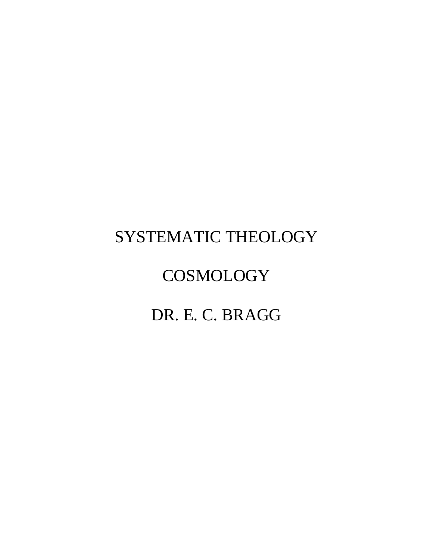## SYSTEMATIC THEOLOGY

# **COSMOLOGY**

## DR. E. C. BRAGG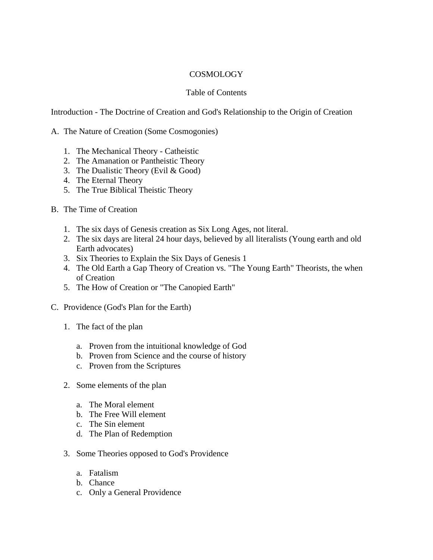## **COSMOLOGY**

## Table of Contents

Introduction - The Doctrine of Creation and God's Relationship to the Origin of Creation

## A. The Nature of Creation (Some Cosmogonies)

- 1. The Mechanical Theory Catheistic
- 2. The Amanation or Pantheistic Theory
- 3. The Dualistic Theory (Evil & Good)
- 4. The Eternal Theory
- 5. The True Biblical Theistic Theory
- B. The Time of Creation
	- 1. The six days of Genesis creation as Six Long Ages, not literal.
	- 2. The six days are literal 24 hour days, believed by all literalists (Young earth and old Earth advocates)
	- 3. Six Theories to Explain the Six Days of Genesis 1
	- 4. The Old Earth a Gap Theory of Creation vs. "The Young Earth" Theorists, the when of Creation
	- 5. The How of Creation or "The Canopied Earth"
- C. Providence (God's Plan for the Earth)
	- 1. The fact of the plan
		- a. Proven from the intuitional knowledge of God
		- b. Proven from Science and the course of history
		- c. Proven from the Scriptures
	- 2. Some elements of the plan
		- a. The Moral element
		- b. The Free Will element
		- c. The Sin element
		- d. The Plan of Redemption
	- 3. Some Theories opposed to God's Providence
		- a. Fatalism
		- b. Chance
		- c. Only a General Providence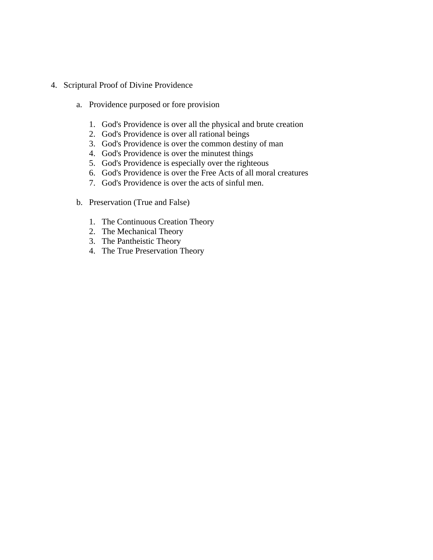- 4. Scriptural Proof of Divine Providence
	- a. Providence purposed or fore provision
		- 1. God's Providence is over all the physical and brute creation
		- 2. God's Providence is over all rational beings
		- 3. God's Providence is over the common destiny of man
		- 4. God's Providence is over the minutest things
		- 5. God's Providence is especially over the righteous
		- 6. God's Providence is over the Free Acts of all moral creatures
		- 7. God's Providence is over the acts of sinful men.
	- b. Preservation (True and False)
		- 1. The Continuous Creation Theory
		- 2. The Mechanical Theory
		- 3. The Pantheistic Theory
		- 4. The True Preservation Theory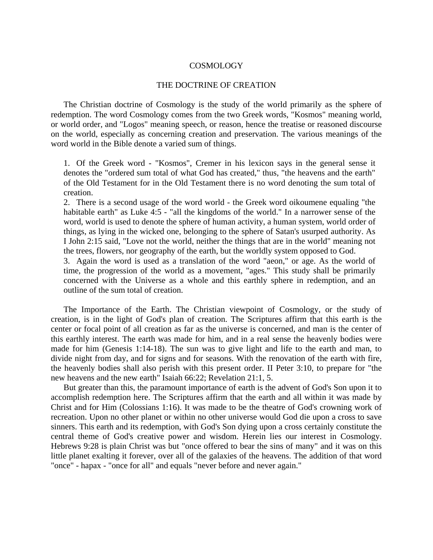#### COSMOLOGY

#### THE DOCTRINE OF CREATION

 The Christian doctrine of Cosmology is the study of the world primarily as the sphere of redemption. The word Cosmology comes from the two Greek words, "Kosmos" meaning world, or world order, and "Logos" meaning speech, or reason, hence the treatise or reasoned discourse on the world, especially as concerning creation and preservation. The various meanings of the word world in the Bible denote a varied sum of things.

1. Of the Greek word - "Kosmos", Cremer in his lexicon says in the general sense it denotes the "ordered sum total of what God has created," thus, "the heavens and the earth" of the Old Testament for in the Old Testament there is no word denoting the sum total of creation.

2. There is a second usage of the word world - the Greek word oikoumene equaling "the habitable earth" as Luke 4:5 - "all the kingdoms of the world." In a narrower sense of the word, world is used to denote the sphere of human activity, a human system, world order of things, as lying in the wicked one, belonging to the sphere of Satan's usurped authority. As I John 2:15 said, "Love not the world, neither the things that are in the world" meaning not the trees, flowers, nor geography of the earth, but the worldly system opposed to God.

3. Again the word is used as a translation of the word "aeon," or age. As the world of time, the progression of the world as a movement, "ages." This study shall be primarily concerned with the Universe as a whole and this earthly sphere in redemption, and an outline of the sum total of creation.

 The Importance of the Earth. The Christian viewpoint of Cosmology, or the study of creation, is in the light of God's plan of creation. The Scriptures affirm that this earth is the center or focal point of all creation as far as the universe is concerned, and man is the center of this earthly interest. The earth was made for him, and in a real sense the heavenly bodies were made for him (Genesis 1:14-18). The sun was to give light and life to the earth and man, to divide night from day, and for signs and for seasons. With the renovation of the earth with fire, the heavenly bodies shall also perish with this present order. II Peter 3:10, to prepare for "the new heavens and the new earth" Isaiah 66:22; Revelation 21:1, 5.

 But greater than this, the paramount importance of earth is the advent of God's Son upon it to accomplish redemption here. The Scriptures affirm that the earth and all within it was made by Christ and for Him (Colossians 1:16). It was made to be the theatre of God's crowning work of recreation. Upon no other planet or within no other universe would God die upon a cross to save sinners. This earth and its redemption, with God's Son dying upon a cross certainly constitute the central theme of God's creative power and wisdom. Herein lies our interest in Cosmology. Hebrews 9:28 is plain Christ was but "once offered to bear the sins of many" and it was on this little planet exalting it forever, over all of the galaxies of the heavens. The addition of that word "once" - hapax - "once for all" and equals "never before and never again."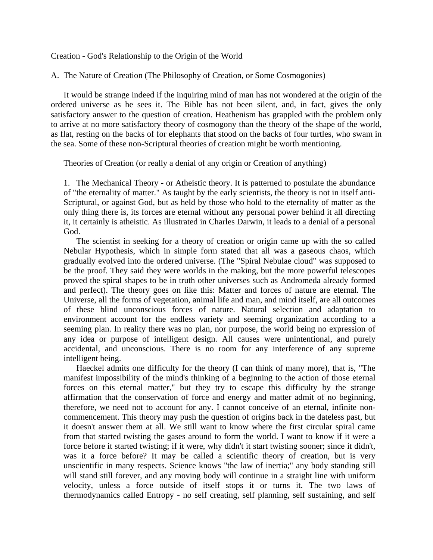Creation - God's Relationship to the Origin of the World

A. The Nature of Creation (The Philosophy of Creation, or Some Cosmogonies)

 It would be strange indeed if the inquiring mind of man has not wondered at the origin of the ordered universe as he sees it. The Bible has not been silent, and, in fact, gives the only satisfactory answer to the question of creation. Heathenism has grappled with the problem only to arrive at no more satisfactory theory of cosmogony than the theory of the shape of the world, as flat, resting on the backs of for elephants that stood on the backs of four turtles, who swam in the sea. Some of these non-Scriptural theories of creation might be worth mentioning.

Theories of Creation (or really a denial of any origin or Creation of anything)

1. The Mechanical Theory - or Atheistic theory. It is patterned to postulate the abundance of "the eternality of matter." As taught by the early scientists, the theory is not in itself anti-Scriptural, or against God, but as held by those who hold to the eternality of matter as the only thing there is, its forces are eternal without any personal power behind it all directing it, it certainly is atheistic. As illustrated in Charles Darwin, it leads to a denial of a personal God.

 The scientist in seeking for a theory of creation or origin came up with the so called Nebular Hypothesis, which in simple form stated that all was a gaseous chaos, which gradually evolved into the ordered universe. (The "Spiral Nebulae cloud" was supposed to be the proof. They said they were worlds in the making, but the more powerful telescopes proved the spiral shapes to be in truth other universes such as Andromeda already formed and perfect). The theory goes on like this: Matter and forces of nature are eternal. The Universe, all the forms of vegetation, animal life and man, and mind itself, are all outcomes of these blind unconscious forces of nature. Natural selection and adaptation to environment account for the endless variety and seeming organization according to a seeming plan. In reality there was no plan, nor purpose, the world being no expression of any idea or purpose of intelligent design. All causes were unintentional, and purely accidental, and unconscious. There is no room for any interference of any supreme intelligent being.

 Haeckel admits one difficulty for the theory (I can think of many more), that is, "The manifest impossibility of the mind's thinking of a beginning to the action of those eternal forces on this eternal matter," but they try to escape this difficulty by the strange affirmation that the conservation of force and energy and matter admit of no beginning, therefore, we need not to account for any. I cannot conceive of an eternal, infinite noncommencement. This theory may push the question of origins back in the dateless past, but it doesn't answer them at all. We still want to know where the first circular spiral came from that started twisting the gases around to form the world. I want to know if it were a force before it started twisting; if it were, why didn't it start twisting sooner; since it didn't, was it a force before? It may be called a scientific theory of creation, but is very unscientific in many respects. Science knows "the law of inertia;" any body standing still will stand still forever, and any moving body will continue in a straight line with uniform velocity, unless a force outside of itself stops it or turns it. The two laws of thermodynamics called Entropy - no self creating, self planning, self sustaining, and self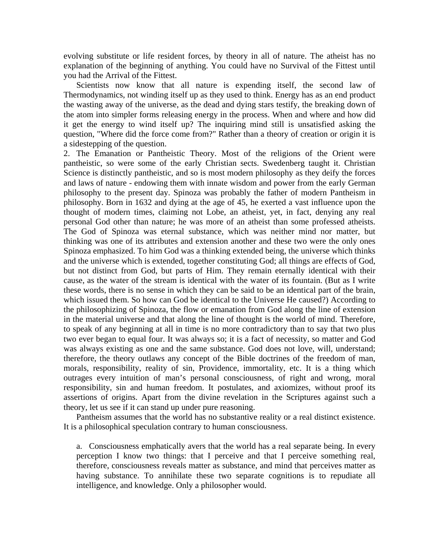evolving substitute or life resident forces, by theory in all of nature. The atheist has no explanation of the beginning of anything. You could have no Survival of the Fittest until you had the Arrival of the Fittest.

 Scientists now know that all nature is expending itself, the second law of Thermodynamics, not winding itself up as they used to think. Energy has as an end product the wasting away of the universe, as the dead and dying stars testify, the breaking down of the atom into simpler forms releasing energy in the process. When and where and how did it get the energy to wind itself up? The inquiring mind still is unsatisfied asking the question, "Where did the force come from?" Rather than a theory of creation or origin it is a sidestepping of the question.

2. The Emanation or Pantheistic Theory. Most of the religions of the Orient were pantheistic, so were some of the early Christian sects. Swedenberg taught it. Christian Science is distinctly pantheistic, and so is most modern philosophy as they deify the forces and laws of nature - endowing them with innate wisdom and power from the early German philosophy to the present day. Spinoza was probably the father of modern Pantheism in philosophy. Born in 1632 and dying at the age of 45, he exerted a vast influence upon the thought of modern times, claiming not Lobe, an atheist, yet, in fact, denying any real personal God other than nature; he was more of an atheist than some professed atheists. The God of Spinoza was eternal substance, which was neither mind nor matter, but thinking was one of its attributes and extension another and these two were the only ones Spinoza emphasized. To him God was a thinking extended being, the universe which thinks and the universe which is extended, together constituting God; all things are effects of God, but not distinct from God, but parts of Him. They remain eternally identical with their cause, as the water of the stream is identical with the water of its fountain. (But as I write these words, there is no sense in which they can be said to be an identical part of the brain, which issued them. So how can God be identical to the Universe He caused?) According to the philosophizing of Spinoza, the flow or emanation from God along the line of extension in the material universe and that along the line of thought is the world of mind. Therefore, to speak of any beginning at all in time is no more contradictory than to say that two plus two ever began to equal four. It was always so; it is a fact of necessity, so matter and God was always existing as one and the same substance. God does not love, will, understand; therefore, the theory outlaws any concept of the Bible doctrines of the freedom of man, morals, responsibility, reality of sin, Providence, immortality, etc. It is a thing which outrages every intuition of man's personal consciousness, of right and wrong, moral responsibility, sin and human freedom. It postulates, and axiomizes, without proof its assertions of origins. Apart from the divine revelation in the Scriptures against such a theory, let us see if it can stand up under pure reasoning.

 Pantheism assumes that the world has no substantive reality or a real distinct existence. It is a philosophical speculation contrary to human consciousness.

a. Consciousness emphatically avers that the world has a real separate being. In every perception I know two things: that I perceive and that I perceive something real, therefore, consciousness reveals matter as substance, and mind that perceives matter as having substance. To annihilate these two separate cognitions is to repudiate all intelligence, and knowledge. Only a philosopher would.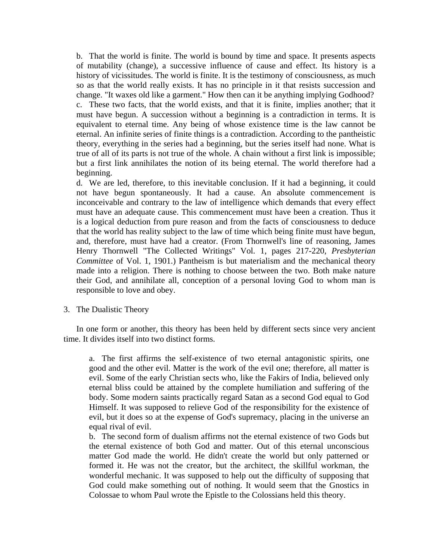b. That the world is finite. The world is bound by time and space. It presents aspects of mutability (change), a successive influence of cause and effect. Its history is a history of vicissitudes. The world is finite. It is the testimony of consciousness, as much so as that the world really exists. It has no principle in it that resists succession and change. "It waxes old like a garment." How then can it be anything implying Godhood? c. These two facts, that the world exists, and that it is finite, implies another; that it must have begun. A succession without a beginning is a contradiction in terms. It is equivalent to eternal time. Any being of whose existence time is the law cannot be eternal. An infinite series of finite things is a contradiction. According to the pantheistic theory, everything in the series had a beginning, but the series itself had none. What is true of all of its parts is not true of the whole. A chain without a first link is impossible; but a first link annihilates the notion of its being eternal. The world therefore had a beginning.

d. We are led, therefore, to this inevitable conclusion. If it had a beginning, it could not have begun spontaneously. It had a cause. An absolute commencement is inconceivable and contrary to the law of intelligence which demands that every effect must have an adequate cause. This commencement must have been a creation. Thus it is a logical deduction from pure reason and from the facts of consciousness to deduce that the world has reality subject to the law of time which being finite must have begun, and, therefore, must have had a creator. (From Thornwell's line of reasoning, James Henry Thornwell "The Collected Writings" Vol. 1, pages 217-220, *Presbyterian Committee* of Vol. 1, 1901.) Pantheism is but materialism and the mechanical theory made into a religion. There is nothing to choose between the two. Both make nature their God, and annihilate all, conception of a personal loving God to whom man is responsible to love and obey.

#### 3. The Dualistic Theory

 In one form or another, this theory has been held by different sects since very ancient time. It divides itself into two distinct forms.

a. The first affirms the self-existence of two eternal antagonistic spirits, one good and the other evil. Matter is the work of the evil one; therefore, all matter is evil. Some of the early Christian sects who, like the Fakirs of India, believed only eternal bliss could be attained by the complete humiliation and suffering of the body. Some modern saints practically regard Satan as a second God equal to God Himself. It was supposed to relieve God of the responsibility for the existence of evil, but it does so at the expense of God's supremacy, placing in the universe an equal rival of evil.

b. The second form of dualism affirms not the eternal existence of two Gods but the eternal existence of both God and matter. Out of this eternal unconscious matter God made the world. He didn't create the world but only patterned or formed it. He was not the creator, but the architect, the skillful workman, the wonderful mechanic. It was supposed to help out the difficulty of supposing that God could make something out of nothing. It would seem that the Gnostics in Colossae to whom Paul wrote the Epistle to the Colossians held this theory.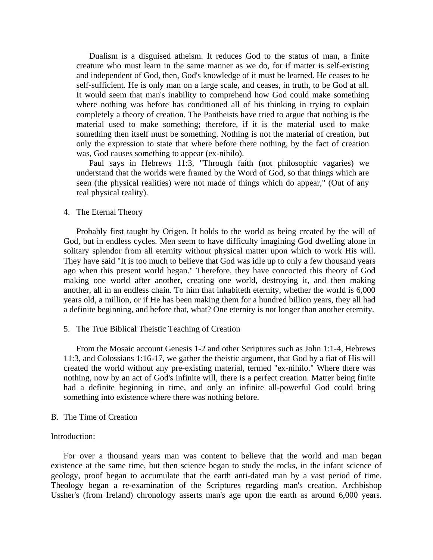Dualism is a disguised atheism. It reduces God to the status of man, a finite creature who must learn in the same manner as we do, for if matter is self-existing and independent of God, then, God's knowledge of it must be learned. He ceases to be self-sufficient. He is only man on a large scale, and ceases, in truth, to be God at all. It would seem that man's inability to comprehend how God could make something where nothing was before has conditioned all of his thinking in trying to explain completely a theory of creation. The Pantheists have tried to argue that nothing is the material used to make something; therefore, if it is the material used to make something then itself must be something. Nothing is not the material of creation, but only the expression to state that where before there nothing, by the fact of creation was, God causes something to appear (ex-nihilo).

 Paul says in Hebrews 11:3, "Through faith (not philosophic vagaries) we understand that the worlds were framed by the Word of God, so that things which are seen (the physical realities) were not made of things which do appear," (Out of any real physical reality).

#### 4. The Eternal Theory

 Probably first taught by Origen. It holds to the world as being created by the will of God, but in endless cycles. Men seem to have difficulty imagining God dwelling alone in solitary splendor from all eternity without physical matter upon which to work His will. They have said "It is too much to believe that God was idle up to only a few thousand years ago when this present world began." Therefore, they have concocted this theory of God making one world after another, creating one world, destroying it, and then making another, all in an endless chain. To him that inhabiteth eternity, whether the world is 6,000 years old, a million, or if He has been making them for a hundred billion years, they all had a definite beginning, and before that, what? One eternity is not longer than another eternity.

5. The True Biblical Theistic Teaching of Creation

 From the Mosaic account Genesis 1-2 and other Scriptures such as John 1:1-4, Hebrews 11:3, and Colossians 1:16-17, we gather the theistic argument, that God by a fiat of His will created the world without any pre-existing material, termed "ex-nihilo." Where there was nothing, now by an act of God's infinite will, there is a perfect creation. Matter being finite had a definite beginning in time, and only an infinite all-powerful God could bring something into existence where there was nothing before.

#### B. The Time of Creation

#### Introduction:

 For over a thousand years man was content to believe that the world and man began existence at the same time, but then science began to study the rocks, in the infant science of geology, proof began to accumulate that the earth anti-dated man by a vast period of time. Theology began a re-examination of the Scriptures regarding man's creation. Archbishop Ussher's (from Ireland) chronology asserts man's age upon the earth as around 6,000 years.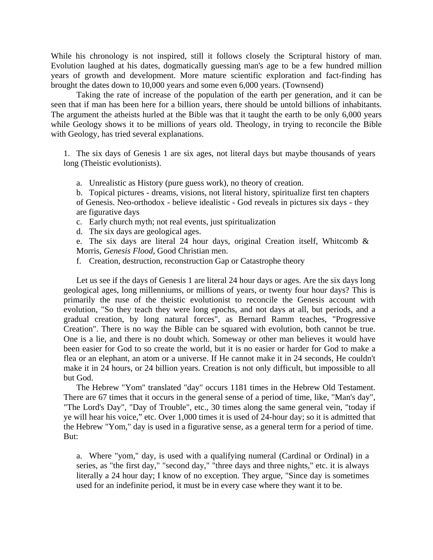While his chronology is not inspired, still it follows closely the Scriptural history of man. Evolution laughed at his dates, dogmatically guessing man's age to be a few hundred million years of growth and development. More mature scientific exploration and fact-finding has brought the dates down to 10,000 years and some even 6,000 years. (Townsend)

Taking the rate of increase of the population of the earth per generation, and it can be seen that if man has been here for a billion years, there should be untold billions of inhabitants. The argument the atheists hurled at the Bible was that it taught the earth to be only 6,000 years while Geology shows it to be millions of years old. Theology, in trying to reconcile the Bible with Geology, has tried several explanations.

1. The six days of Genesis 1 are six ages, not literal days but maybe thousands of years long (Theistic evolutionists).

a. Unrealistic as History (pure guess work), no theory of creation.

b. Topical pictures - dreams, visions, not literal history, spiritualize first ten chapters of Genesis. Neo-orthodox - believe idealistic - God reveals in pictures six days - they are figurative days

c. Early church myth; not real events, just spiritualization

d. The six days are geological ages.

e. The six days are literal 24 hour days, original Creation itself, Whitcomb & Morris, *Genesis Flood*, Good Christian men.

f. Creation, destruction, reconstruction Gap or Catastrophe theory

Let us see if the days of Genesis 1 are literal 24 hour days or ages. Are the six days long geological ages, long millenniums, or millions of years, or twenty four hour days? This is primarily the ruse of the theistic evolutionist to reconcile the Genesis account with evolution, "So they teach they were long epochs, and not days at all, but periods, and a gradual creation, by long natural forces", as Bernard Ramm teaches, "Progressive Creation". There is no way the Bible can be squared with evolution, both cannot be true. One is a lie, and there is no doubt which. Someway or other man believes it would have been easier for God to so create the world, but it is no easier or harder for God to make a flea or an elephant, an atom or a universe. If He cannot make it in 24 seconds, He couldn't make it in 24 hours, or 24 billion years. Creation is not only difficult, but impossible to all but God.

 The Hebrew "Yom" translated "day" occurs 1181 times in the Hebrew Old Testament. There are 67 times that it occurs in the general sense of a period of time, like, "Man's day", "The Lord's Day", "Day of Trouble", etc., 30 times along the same general vein, "today if ye will hear his voice," etc. Over 1,000 times it is used of 24-hour day; so it is admitted that the Hebrew "Yom," day is used in a figurative sense, as a general term for a period of time. But:

a. Where "yom," day, is used with a qualifying numeral (Cardinal or Ordinal) in a series, as "the first day," "second day," "three days and three nights," etc. it is always literally a 24 hour day; I know of no exception. They argue, "Since day is sometimes used for an indefinite period, it must be in every case where they want it to be.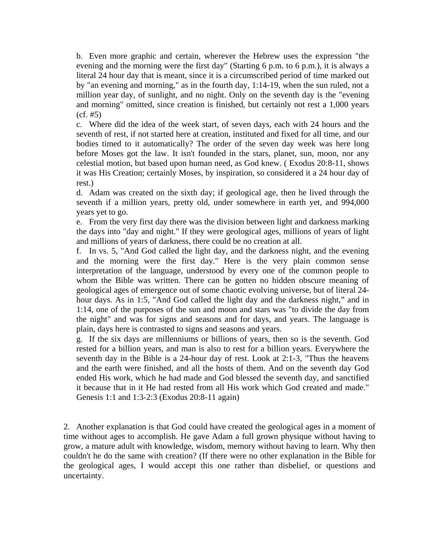b. Even more graphic and certain, wherever the Hebrew uses the expression "the evening and the morning were the first day" (Starting 6 p.m. to 6 p.m.), it is always a literal 24 hour day that is meant, since it is a circumscribed period of time marked out by "an evening and morning," as in the fourth day, 1:14-19, when the sun ruled, not a million year day, of sunlight, and no night. Only on the seventh day is the "evening and morning" omitted, since creation is finished, but certainly not rest a 1,000 years (cf. #5)

c. Where did the idea of the week start, of seven days, each with 24 hours and the seventh of rest, if not started here at creation, instituted and fixed for all time, and our bodies timed to it automatically? The order of the seven day week was here long before Moses got the law. It isn't founded in the stars, planet, sun, moon, nor any celestial motion, but based upon human need, as God knew. ( Exodus 20:8-11, shows it was His Creation; certainly Moses, by inspiration, so considered it a 24 hour day of rest.)

d. Adam was created on the sixth day; if geological age, then he lived through the seventh if a million years, pretty old, under somewhere in earth yet, and 994,000 years yet to go.

e. From the very first day there was the division between light and darkness marking the days into "day and night." If they were geological ages, millions of years of light and millions of years of darkness, there could be no creation at all.

f. In vs. 5, "And God called the light day, and the darkness night, and the evening and the morning were the first day." Here is the very plain common sense interpretation of the language, understood by every one of the common people to whom the Bible was written. There can be gotten no hidden obscure meaning of geological ages of emergence out of some chaotic evolving universe, but of literal 24 hour days. As in 1:5, "And God called the light day and the darkness night," and in 1:14, one of the purposes of the sun and moon and stars was "to divide the day from the night" and was for signs and seasons and for days, and years. The language is plain, days here is contrasted to signs and seasons and years.

g. If the six days are millenniums or billions of years, then so is the seventh. God rested for a billion years, and man is also to rest for a billion years. Everywhere the seventh day in the Bible is a 24-hour day of rest. Look at 2:1-3, "Thus the heavens and the earth were finished, and all the hosts of them. And on the seventh day God ended His work, which he had made and God blessed the seventh day, and sanctified it because that in it He had rested from all His work which God created and made." Genesis 1:1 and 1:3-2:3 (Exodus 20:8-11 again)

2. Another explanation is that God could have created the geological ages in a moment of time without ages to accomplish. He gave Adam a full grown physique without having to grow, a mature adult with knowledge, wisdom, memory without having to learn. Why then couldn't he do the same with creation? (If there were no other explanation in the Bible for the geological ages, I would accept this one rather than disbelief, or questions and uncertainty.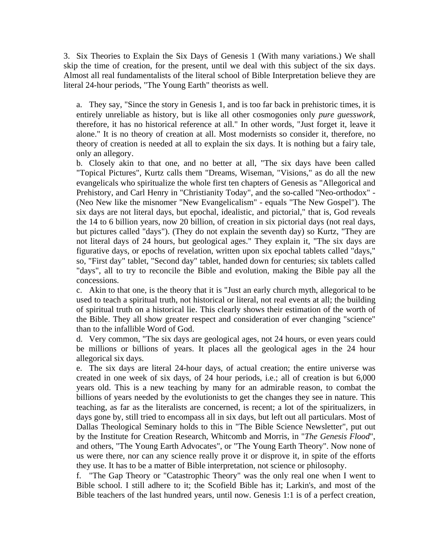3. Six Theories to Explain the Six Days of Genesis 1 (With many variations.) We shall skip the time of creation, for the present, until we deal with this subject of the six days. Almost all real fundamentalists of the literal school of Bible Interpretation believe they are literal 24-hour periods, "The Young Earth" theorists as well.

a. They say, "Since the story in Genesis 1, and is too far back in prehistoric times, it is entirely unreliable as history, but is like all other cosmogonies only *pure guesswork*, therefore, it has no historical reference at all." In other words, "Just forget it, leave it alone." It is no theory of creation at all. Most modernists so consider it, therefore, no theory of creation is needed at all to explain the six days. It is nothing but a fairy tale, only an allegory.

b. Closely akin to that one, and no better at all, "The six days have been called "Topical Pictures", Kurtz calls them "Dreams, Wiseman, "Visions," as do all the new evangelicals who spiritualize the whole first ten chapters of Genesis as "Allegorical and Prehistory, and Carl Henry in "Christianity Today", and the so-called "Neo-orthodox" - (Neo New like the misnomer "New Evangelicalism" - equals "The New Gospel"). The six days are not literal days, but epochal, idealistic, and pictorial," that is, God reveals the 14 to 6 billion years, now 20 billion, of creation in six pictorial days (not real days, but pictures called "days"). (They do not explain the seventh day) so Kurtz, "They are not literal days of 24 hours, but geological ages." They explain it, "The six days are figurative days, or epochs of revelation, written upon six epochal tablets called "days," so, "First day" tablet, "Second day" tablet, handed down for centuries; six tablets called "days", all to try to reconcile the Bible and evolution, making the Bible pay all the concessions.

c. Akin to that one, is the theory that it is "Just an early church myth, allegorical to be used to teach a spiritual truth, not historical or literal, not real events at all; the building of spiritual truth on a historical lie. This clearly shows their estimation of the worth of the Bible. They all show greater respect and consideration of ever changing "science" than to the infallible Word of God.

d. Very common, "The six days are geological ages, not 24 hours, or even years could be millions or billions of years. It places all the geological ages in the 24 hour allegorical six days.

e. The six days are literal 24-hour days, of actual creation; the entire universe was created in one week of six days, of 24 hour periods, i.e.; all of creation is but 6,000 years old. This is a new teaching by many for an admirable reason, to combat the billions of years needed by the evolutionists to get the changes they see in nature. This teaching, as far as the literalists are concerned, is recent; a lot of the spiritualizers, in days gone by, still tried to encompass all in six days, but left out all particulars. Most of Dallas Theological Seminary holds to this in "The Bible Science Newsletter", put out by the Institute for Creation Research, Whitcomb and Morris, in "*The Genesis Flood*", and others, "The Young Earth Advocates", or "The Young Earth Theory". Now none of us were there, nor can any science really prove it or disprove it, in spite of the efforts they use. It has to be a matter of Bible interpretation, not science or philosophy.

f. "The Gap Theory or "Catastrophic Theory" was the only real one when I went to Bible school. I still adhere to it; the Scofield Bible has it; Larkin's, and most of the Bible teachers of the last hundred years, until now. Genesis 1:1 is of a perfect creation,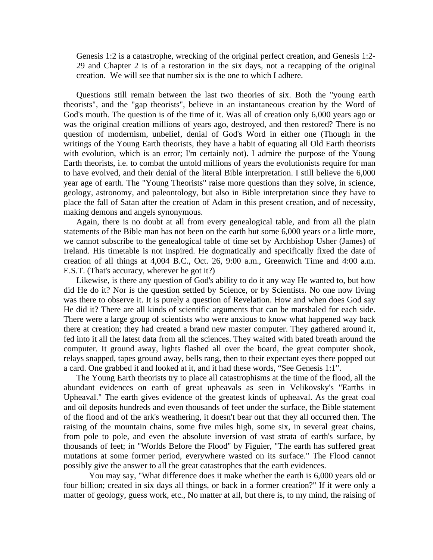Genesis 1:2 is a catastrophe, wrecking of the original perfect creation, and Genesis 1:2- 29 and Chapter 2 is of a restoration in the six days, not a recapping of the original creation. We will see that number six is the one to which I adhere.

 Questions still remain between the last two theories of six. Both the "young earth theorists", and the "gap theorists", believe in an instantaneous creation by the Word of God's mouth. The question is of the time of it. Was all of creation only 6,000 years ago or was the original creation millions of years ago, destroyed, and then restored? There is no question of modernism, unbelief, denial of God's Word in either one (Though in the writings of the Young Earth theorists, they have a habit of equating all Old Earth theorists with evolution, which is an error; I'm certainly not). I admire the purpose of the Young Earth theorists, i.e. to combat the untold millions of years the evolutionists require for man to have evolved, and their denial of the literal Bible interpretation. I still believe the 6,000 year age of earth. The "Young Theorists" raise more questions than they solve, in science, geology, astronomy, and paleontology, but also in Bible interpretation since they have to place the fall of Satan after the creation of Adam in this present creation, and of necessity, making demons and angels synonymous.

 Again, there is no doubt at all from every genealogical table, and from all the plain statements of the Bible man has not been on the earth but some 6,000 years or a little more, we cannot subscribe to the genealogical table of time set by Archbishop Usher (James) of Ireland. His timetable is not inspired. He dogmatically and specifically fixed the date of creation of all things at 4,004 B.C., Oct. 26, 9:00 a.m., Greenwich Time and 4:00 a.m. E.S.T. (That's accuracy, wherever he got it?)

 Likewise, is there any question of God's ability to do it any way He wanted to, but how did He do it? Nor is the question settled by Science, or by Scientists. No one now living was there to observe it. It is purely a question of Revelation. How and when does God say He did it? There are all kinds of scientific arguments that can be marshaled for each side. There were a large group of scientists who were anxious to know what happened way back there at creation; they had created a brand new master computer. They gathered around it, fed into it all the latest data from all the sciences. They waited with bated breath around the computer. It ground away, lights flashed all over the board, the great computer shook, relays snapped, tapes ground away, bells rang, then to their expectant eyes there popped out a card. One grabbed it and looked at it, and it had these words, "See Genesis 1:1".

 The Young Earth theorists try to place all catastrophisms at the time of the flood, all the abundant evidences on earth of great upheavals as seen in Velikovsky's "Earths in Upheaval." The earth gives evidence of the greatest kinds of upheaval. As the great coal and oil deposits hundreds and even thousands of feet under the surface, the Bible statement of the flood and of the ark's weathering, it doesn't bear out that they all occurred then. The raising of the mountain chains, some five miles high, some six, in several great chains, from pole to pole, and even the absolute inversion of vast strata of earth's surface, by thousands of feet; in "Worlds Before the Flood" by Figuier, "The earth has suffered great mutations at some former period, everywhere wasted on its surface." The Flood cannot possibly give the answer to all the great catastrophes that the earth evidences.

 You may say, "What difference does it make whether the earth is 6,000 years old or four billion; created in six days all things, or back in a former creation?" If it were only a matter of geology, guess work, etc., No matter at all, but there is, to my mind, the raising of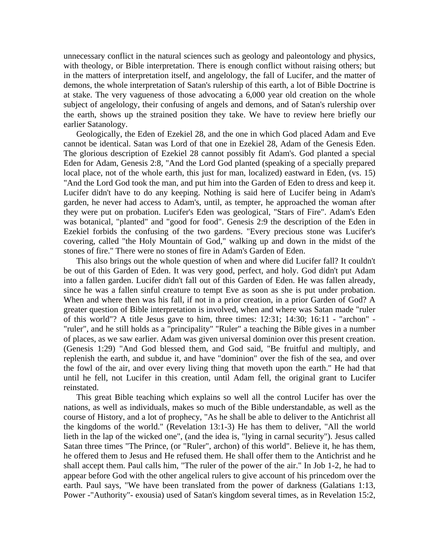unnecessary conflict in the natural sciences such as geology and paleontology and physics, with theology, or Bible interpretation. There is enough conflict without raising others; but in the matters of interpretation itself, and angelology, the fall of Lucifer, and the matter of demons, the whole interpretation of Satan's rulership of this earth, a lot of Bible Doctrine is at stake. The very vagueness of those advocating a 6,000 year old creation on the whole subject of angelology, their confusing of angels and demons, and of Satan's rulership over the earth, shows up the strained position they take. We have to review here briefly our earlier Satanology.

 Geologically, the Eden of Ezekiel 28, and the one in which God placed Adam and Eve cannot be identical. Satan was Lord of that one in Ezekiel 28, Adam of the Genesis Eden. The glorious description of Ezekiel 28 cannot possibly fit Adam's. God planted a special Eden for Adam, Genesis 2:8, "And the Lord God planted (speaking of a specially prepared local place, not of the whole earth, this just for man, localized) eastward in Eden, (vs. 15) "And the Lord God took the man, and put him into the Garden of Eden to dress and keep it. Lucifer didn't have to do any keeping. Nothing is said here of Lucifer being in Adam's garden, he never had access to Adam's, until, as tempter, he approached the woman after they were put on probation. Lucifer's Eden was geological, "Stars of Fire". Adam's Eden was botanical, "planted" and "good for food". Genesis 2:9 the description of the Eden in Ezekiel forbids the confusing of the two gardens. "Every precious stone was Lucifer's covering, called "the Holy Mountain of God," walking up and down in the midst of the stones of fire." There were no stones of fire in Adam's Garden of Eden.

 This also brings out the whole question of when and where did Lucifer fall? It couldn't be out of this Garden of Eden. It was very good, perfect, and holy. God didn't put Adam into a fallen garden. Lucifer didn't fall out of this Garden of Eden. He was fallen already, since he was a fallen sinful creature to tempt Eve as soon as she is put under probation. When and where then was his fall, if not in a prior creation, in a prior Garden of God? A greater question of Bible interpretation is involved, when and where was Satan made "ruler of this world"? A title Jesus gave to him, three times: 12:31; 14:30; 16:11 - "archon" - "ruler", and he still holds as a "principality" "Ruler" a teaching the Bible gives in a number of places, as we saw earlier. Adam was given universal dominion over this present creation. (Genesis 1:29) "And God blessed them, and God said, "Be fruitful and multiply, and replenish the earth, and subdue it, and have "dominion" over the fish of the sea, and over the fowl of the air, and over every living thing that moveth upon the earth." He had that until he fell, not Lucifer in this creation, until Adam fell, the original grant to Lucifer reinstated.

 This great Bible teaching which explains so well all the control Lucifer has over the nations, as well as individuals, makes so much of the Bible understandable, as well as the course of History, and a lot of prophecy, "As he shall be able to deliver to the Antichrist all the kingdoms of the world." (Revelation 13:1-3) He has them to deliver, "All the world lieth in the lap of the wicked one", (and the idea is, "lying in carnal security"). Jesus called Satan three times "The Prince, (or "Ruler", archon) of this world". Believe it, he has them, he offered them to Jesus and He refused them. He shall offer them to the Antichrist and he shall accept them. Paul calls him, "The ruler of the power of the air." In Job 1-2, he had to appear before God with the other angelical rulers to give account of his princedom over the earth. Paul says, "We have been translated from the power of darkness (Galatians 1:13, Power -"Authority"- exousia) used of Satan's kingdom several times, as in Revelation 15:2,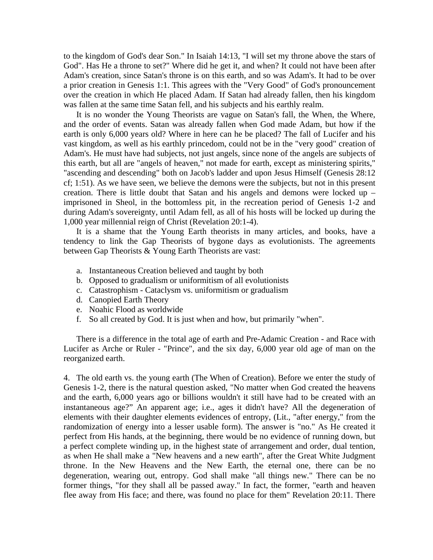to the kingdom of God's dear Son." In Isaiah 14:13, "I will set my throne above the stars of God". Has He a throne to set?" Where did he get it, and when? It could not have been after Adam's creation, since Satan's throne is on this earth, and so was Adam's. It had to be over a prior creation in Genesis 1:1. This agrees with the "Very Good" of God's pronouncement over the creation in which He placed Adam. If Satan had already fallen, then his kingdom was fallen at the same time Satan fell, and his subjects and his earthly realm.

 It is no wonder the Young Theorists are vague on Satan's fall, the When, the Where, and the order of events. Satan was already fallen when God made Adam, but how if the earth is only 6,000 years old? Where in here can he be placed? The fall of Lucifer and his vast kingdom, as well as his earthly princedom, could not be in the "very good" creation of Adam's. He must have had subjects, not just angels, since none of the angels are subjects of this earth, but all are "angels of heaven," not made for earth, except as ministering spirits," "ascending and descending" both on Jacob's ladder and upon Jesus Himself (Genesis 28:12 cf; 1:51). As we have seen, we believe the demons were the subjects, but not in this present creation. There is little doubt that Satan and his angels and demons were locked up – imprisoned in Sheol, in the bottomless pit, in the recreation period of Genesis 1-2 and during Adam's sovereignty, until Adam fell, as all of his hosts will be locked up during the 1,000 year millennial reign of Christ (Revelation 20:1-4).

 It is a shame that the Young Earth theorists in many articles, and books, have a tendency to link the Gap Theorists of bygone days as evolutionists. The agreements between Gap Theorists & Young Earth Theorists are vast:

- a. Instantaneous Creation believed and taught by both
- b. Opposed to gradualism or uniformitism of all evolutionists
- c. Catastrophism Cataclysm vs. uniformitism or gradualism
- d. Canopied Earth Theory
- e. Noahic Flood as worldwide
- f. So all created by God. It is just when and how, but primarily "when".

 There is a difference in the total age of earth and Pre-Adamic Creation - and Race with Lucifer as Arche or Ruler - "Prince", and the six day, 6,000 year old age of man on the reorganized earth.

4. The old earth vs. the young earth (The When of Creation). Before we enter the study of Genesis 1-2, there is the natural question asked, "No matter when God created the heavens and the earth, 6,000 years ago or billions wouldn't it still have had to be created with an instantaneous age?" An apparent age; i.e., ages it didn't have? All the degeneration of elements with their daughter elements evidences of entropy, (Lit., "after energy," from the randomization of energy into a lesser usable form). The answer is "no." As He created it perfect from His hands, at the beginning, there would be no evidence of running down, but a perfect complete winding up, in the highest state of arrangement and order, dual tention, as when He shall make a "New heavens and a new earth", after the Great White Judgment throne. In the New Heavens and the New Earth, the eternal one, there can be no degeneration, wearing out, entropy. God shall make "all things new." There can be no former things, "for they shall all be passed away." In fact, the former, "earth and heaven flee away from His face; and there, was found no place for them" Revelation 20:11. There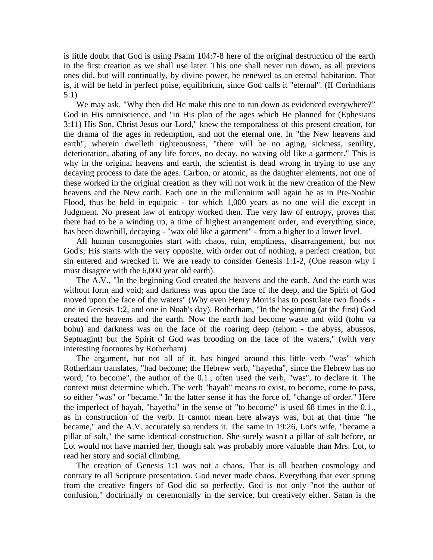is little doubt that God is using Psalm 104:7-8 here of the original destruction of the earth in the first creation as we shall use later. This one shall never run down, as all previous ones did, but will continually, by divine power, be renewed as an eternal habitation. That is, it will be held in perfect poise, equilibrium, since God calls it "eternal". (II Corinthians 5:1)

We may ask, "Why then did He make this one to run down as evidenced everywhere?" God in His omniscience, and "in His plan of the ages which He planned for (Ephesians 3:11) His Son, Christ Jesus our Lord," knew the temporalness of this present creation, for the drama of the ages in redemption, and not the eternal one. In "the New heavens and earth", wherein dwelleth righteousness, "there will be no aging, sickness, senility, deterioration, abating of any life forces, no decay, no waxing old like a garment." This is why in the original heavens and earth, the scientist is dead wrong in trying to use any decaying process to date the ages. Carbon, or atomic, as the daughter elements, not one of these worked in the original creation as they will not work in the new creation of the New heavens and the New earth. Each one in the millennium will again be as in Pre-Noahic Flood, thus be held in equipoic - for which 1,000 years as no one will die except in Judgment. No present law of entropy worked then. The very law of entropy, proves that there had to be a winding up, a time of highest arrangement order, and everything since, has been downhill, decaying - "wax old like a garment" - from a higher to a lower level.

 All human cosmogonies start with chaos, ruin, emptiness, disarrangement, but not God's; His starts with the very opposite, with order out of nothing, a perfect creation, but sin entered and wrecked it. We are ready to consider Genesis 1:1-2, (One reason why I must disagree with the 6,000 year old earth).

 The A.V., "In the beginning God created the heavens and the earth. And the earth was without form and void; and darkness was upon the face of the deep, and the Spirit of God moved upon the face of the waters" (Why even Henry Morris has to postulate two floods one in Genesis 1:2, and one in Noah's day). Rotherham, "In the beginning (at the first) God created the heavens and the earth. Now the earth had become waste and wild (tohu va bohu) and darkness was on the face of the roaring deep (tehom - the abyss, abussos, Septuagint) but the Spirit of God was brooding on the face of the waters," (with very interesting footnotes by Rotherham)

 The argument, but not all of it, has hinged around this little verb "was" which Rotherham translates, "had become; the Hebrew verb, "hayetha", since the Hebrew has no word, "to become", the author of the 0.1., often used the verb, "was", to declare it. The context must determine which. The verb "hayah" means to exist, to become, come to pass, so either "was" or "became." In the latter sense it has the force of, "change of order." Here the imperfect of hayah, "hayetha" in the sense of "to become" is used 68 times in the 0.1., as in construction of the verb. It cannot mean here always was, but at that time "he became," and the A.V. accurately so renders it. The same in 19:26, Lot's wife, "became a pillar of salt," the same identical construction. She surely wasn't a pillar of salt before, or Lot would not have married her, though salt was probably more valuable than Mrs. Lot, to read her story and social climbing.

 The creation of Genesis 1:1 was not a chaos. That is all heathen cosmology and contrary to all Scripture presentation. God never made chaos. Everything that ever sprung from the creative fingers of God did so perfectly. God is not only "not the author of confusion," doctrinally or ceremonially in the service, but creatively either. Satan is the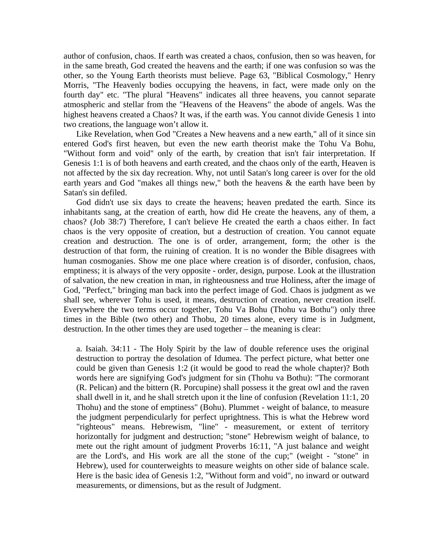author of confusion, chaos. If earth was created a chaos, confusion, then so was heaven, for in the same breath, God created the heavens and the earth; if one was confusion so was the other, so the Young Earth theorists must believe. Page 63, "Biblical Cosmology," Henry Morris, "The Heavenly bodies occupying the heavens, in fact, were made only on the fourth day" etc. "The plural "Heavens" indicates all three heavens, you cannot separate atmospheric and stellar from the "Heavens of the Heavens" the abode of angels. Was the highest heavens created a Chaos? It was, if the earth was. You cannot divide Genesis 1 into two creations, the language won't allow it.

 Like Revelation, when God "Creates a New heavens and a new earth," all of it since sin entered God's first heaven, but even the new earth theorist make the Tohu Va Bohu, "Without form and void" only of the earth, by creation that isn't fair interpretation. If Genesis 1:1 is of both heavens and earth created, and the chaos only of the earth, Heaven is not affected by the six day recreation. Why, not until Satan's long career is over for the old earth years and God "makes all things new," both the heavens & the earth have been by Satan's sin defiled.

 God didn't use six days to create the heavens; heaven predated the earth. Since its inhabitants sang, at the creation of earth, how did He create the heavens, any of them, a chaos? (Job 38:7) Therefore, I can't believe He created the earth a chaos either. In fact chaos is the very opposite of creation, but a destruction of creation. You cannot equate creation and destruction. The one is of order, arrangement, form; the other is the destruction of that form, the ruining of creation. It is no wonder the Bible disagrees with human cosmoganies. Show me one place where creation is of disorder, confusion, chaos, emptiness; it is always of the very opposite - order, design, purpose. Look at the illustration of salvation, the new creation in man, in righteousness and true Holiness, after the image of God, "Perfect," bringing man back into the perfect image of God. Chaos is judgment as we shall see, wherever Tohu is used, it means, destruction of creation, never creation itself. Everywhere the two terms occur together, Tohu Va Bohu (Thohu va Bothu") only three times in the Bible (two other) and Thobu, 20 times alone, every time is in Judgment, destruction. In the other times they are used together – the meaning is clear:

a. Isaiah. 34:11 - The Holy Spirit by the law of double reference uses the original destruction to portray the desolation of Idumea. The perfect picture, what better one could be given than Genesis 1:2 (it would be good to read the whole chapter)? Both words here are signifying God's judgment for sin (Thohu va Bothu): "The cormorant (R. Pelican) and the bittern (R. Porcupine) shall possess it the great owl and the raven shall dwell in it, and he shall stretch upon it the line of confusion (Revelation 11:1, 20 Thohu) and the stone of emptiness" (Bohu). Plummet - weight of balance, to measure the judgment perpendicularly for perfect uprightness. This is what the Hebrew word "righteous" means. Hebrewism, "line" - measurement, or extent of territory horizontally for judgment and destruction; "stone" Hebrewism weight of balance, to mete out the right amount of judgment Proverbs 16:11, "A just balance and weight are the Lord's, and His work are all the stone of the cup;" (weight - "stone" in Hebrew), used for counterweights to measure weights on other side of balance scale. Here is the basic idea of Genesis 1:2, "Without form and void", no inward or outward measurements, or dimensions, but as the result of Judgment.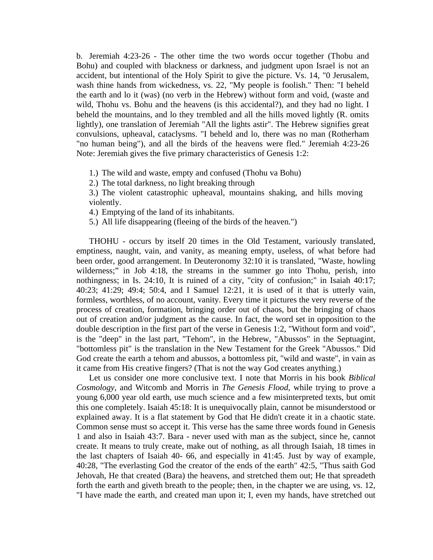b. Jeremiah 4:23-26 - The other time the two words occur together (Thobu and Bohu) and coupled with blackness or darkness, and judgment upon Israel is not an accident, but intentional of the Holy Spirit to give the picture. Vs. 14, "0 Jerusalem, wash thine hands from wickedness, vs. 22, "My people is foolish." Then: "I beheld the earth and lo it (was) (no verb in the Hebrew) without form and void, (waste and wild, Thohu vs. Bohu and the heavens (is this accidental?), and they had no light. I beheld the mountains, and lo they trembled and all the hills moved lightly (R. omits lightly), one translation of Jeremiah "All the lights astir". The Hebrew signifies great convulsions, upheaval, cataclysms. "I beheld and lo, there was no man (Rotherham "no human being"), and all the birds of the heavens were fled." Jeremiah 4:23-26 Note: Jeremiah gives the five primary characteristics of Genesis 1:2:

1.) The wild and waste, empty and confused (Thohu va Bohu)

2.) The total darkness, no light breaking through

3.) The violent catastrophic upheaval, mountains shaking, and hills moving violently.

4.) Emptying of the land of its inhabitants.

5.) All life disappearing (fleeing of the birds of the heaven.")

 THOHU - occurs by itself 20 times in the Old Testament, variously translated, emptiness, naught, vain, and vanity, as meaning empty, useless, of what before had been order, good arrangement. In Deuteronomy 32:10 it is translated, "Waste, howling wilderness;" in Job 4:18, the streams in the summer go into Thohu, perish, into nothingness; in Is. 24:10, It is ruined of a city, "city of confusion;" in Isaiah 40:17; 40:23; 41:29; 49:4; 50:4, and I Samuel 12:21, it is used of it that is utterly vain, formless, worthless, of no account, vanity. Every time it pictures the very reverse of the process of creation, formation, bringing order out of chaos, but the bringing of chaos out of creation and/or judgment as the cause. In fact, the word set in opposition to the double description in the first part of the verse in Genesis 1:2, "Without form and void", is the "deep" in the last part, "Tehom", in the Hebrew, "Abussos" in the Septuagint, "bottomless pit" is the translation in the New Testament for the Greek "Abussos." Did God create the earth a tehom and abussos, a bottomless pit, "wild and waste", in vain as it came from His creative fingers? (That is not the way God creates anything.)

 Let us consider one more conclusive text. I note that Morris in his book *Biblical Cosmology*, and Witcomb and Morris in *The Genesis Flood*, while trying to prove a young 6,000 year old earth, use much science and a few misinterpreted texts, but omit this one completely. Isaiah 45:18: It is unequivocally plain, cannot be misunderstood or explained away. It is a flat statement by God that He didn't create it in a chaotic state. Common sense must so accept it. This verse has the same three words found in Genesis 1 and also in Isaiah 43:7. Bara - never used with man as the subject, since he, cannot create. It means to truly create, make out of nothing, as all through Isaiah, 18 times in the last chapters of Isaiah 40- 66, and especially in 41:45. Just by way of example, 40:28, "The everlasting God the creator of the ends of the earth" 42:5, "Thus saith God Jehovah, He that created (Bara) the heavens, and stretched them out; He that spreadeth forth the earth and giveth breath to the people; then, in the chapter we are using, vs. 12, "I have made the earth, and created man upon it; I, even my hands, have stretched out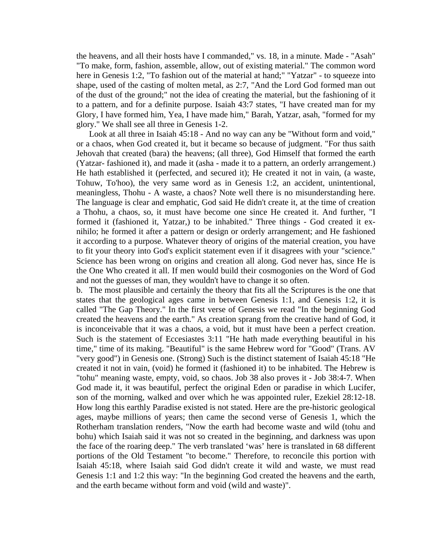the heavens, and all their hosts have I commanded," vs. 18, in a minute. Made - "Asah" "To make, form, fashion, assemble, allow, out of existing material." The common word here in Genesis 1:2, "To fashion out of the material at hand;" "Yatzar" - to squeeze into shape, used of the casting of molten metal, as 2:7, "And the Lord God formed man out of the dust of the ground;" not the idea of creating the material, but the fashioning of it to a pattern, and for a definite purpose. Isaiah 43:7 states, "I have created man for my Glory, I have formed him, Yea, I have made him," Barah, Yatzar, asah, "formed for my glory." We shall see all three in Genesis 1-2.

 Look at all three in Isaiah 45:18 - And no way can any be "Without form and void," or a chaos, when God created it, but it became so because of judgment. "For thus saith Jehovah that created (bara) the heavens; (all three), God Himself that formed the earth (Yatzar- fashioned it), and made it (asha - made it to a pattern, an orderly arrangement.) He hath established it (perfected, and secured it); He created it not in vain, (a waste, Tohuw, To'hoo), the very same word as in Genesis 1:2, an accident, unintentional, meaningless, Thohu - A waste, a chaos? Note well there is no misunderstanding here. The language is clear and emphatic, God said He didn't create it, at the time of creation a Thohu, a chaos, so, it must have become one since He created it. And further, "I formed it (fashioned it, Yatzar,) to be inhabited." Three things - God created it exnihilo; he formed it after a pattern or design or orderly arrangement; and He fashioned it according to a purpose. Whatever theory of origins of the material creation, you have to fit your theory into God's explicit statement even if it disagrees with your "science." Science has been wrong on origins and creation all along. God never has, since He is the One Who created it all. If men would build their cosmogonies on the Word of God and not the guesses of man, they wouldn't have to change it so often.

b. The most plausible and certainly the theory that fits all the Scriptures is the one that states that the geological ages came in between Genesis 1:1, and Genesis 1:2, it is called "The Gap Theory." In the first verse of Genesis we read "In the beginning God created the heavens and the earth." As creation sprang from the creative hand of God, it is inconceivable that it was a chaos, a void, but it must have been a perfect creation. Such is the statement of Eccesiastes 3:11 "He hath made everything beautiful in his time," time of its making. "Beautiful" is the same Hebrew word for "Good" (Trans. AV "very good") in Genesis one. (Strong) Such is the distinct statement of Isaiah 45:18 "He created it not in vain, (void) he formed it (fashioned it) to be inhabited. The Hebrew is "tohu" meaning waste, empty, void, so chaos. Job 38 also proves it - Job 38:4-7. When God made it, it was beautiful, perfect the original Eden or paradise in which Lucifer, son of the morning, walked and over which he was appointed ruler, Ezekiel 28:12-18. How long this earthly Paradise existed is not stated. Here are the pre-historic geological ages, maybe millions of years; then came the second verse of Genesis 1, which the Rotherham translation renders, "Now the earth had become waste and wild (tohu and bohu) which Isaiah said it was not so created in the beginning, and darkness was upon the face of the roaring deep." The verb translated 'was' here is translated in 68 different portions of the Old Testament "to become." Therefore, to reconcile this portion with Isaiah 45:18, where Isaiah said God didn't create it wild and waste, we must read Genesis 1:1 and 1:2 this way: "In the beginning God created the heavens and the earth, and the earth became without form and void (wild and waste)".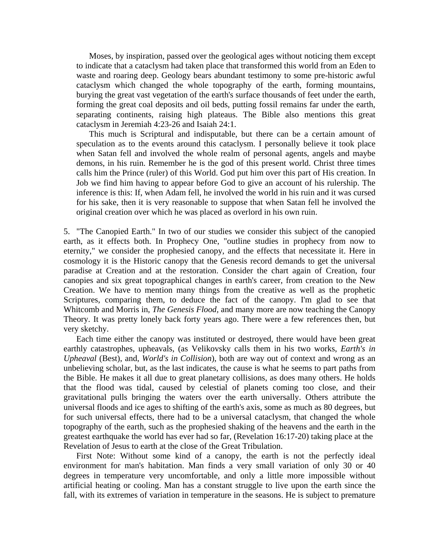Moses, by inspiration, passed over the geological ages without noticing them except to indicate that a cataclysm had taken place that transformed this world from an Eden to waste and roaring deep. Geology bears abundant testimony to some pre-historic awful cataclysm which changed the whole topography of the earth, forming mountains, burying the great vast vegetation of the earth's surface thousands of feet under the earth, forming the great coal deposits and oil beds, putting fossil remains far under the earth, separating continents, raising high plateaus. The Bible also mentions this great cataclysm in Jeremiah 4:23-26 and Isaiah 24:1.

 This much is Scriptural and indisputable, but there can be a certain amount of speculation as to the events around this cataclysm. I personally believe it took place when Satan fell and involved the whole realm of personal agents, angels and maybe demons, in his ruin. Remember he is the god of this present world. Christ three times calls him the Prince (ruler) of this World. God put him over this part of His creation. In Job we find him having to appear before God to give an account of his rulership. The inference is this: If, when Adam fell, he involved the world in his ruin and it was cursed for his sake, then it is very reasonable to suppose that when Satan fell he involved the original creation over which he was placed as overlord in his own ruin.

5. "The Canopied Earth." In two of our studies we consider this subject of the canopied earth, as it effects both. In Prophecy One, "outline studies in prophecy from now to eternity," we consider the prophesied canopy, and the effects that necessitate it. Here in cosmology it is the Historic canopy that the Genesis record demands to get the universal paradise at Creation and at the restoration. Consider the chart again of Creation, four canopies and six great topographical changes in earth's career, from creation to the New Creation. We have to mention many things from the creative as well as the prophetic Scriptures, comparing them, to deduce the fact of the canopy. I'm glad to see that Whitcomb and Morris in, *The Genesis Flood,* and many more are now teaching the Canopy Theory. It was pretty lonely back forty years ago. There were a few references then, but very sketchy.

 Each time either the canopy was instituted or destroyed, there would have been great earthly catastrophes, upheavals, (as Velikovsky calls them in his two works, *Earth's in Upheaval* (Best), and, *World's in Collision*), both are way out of context and wrong as an unbelieving scholar, but, as the last indicates, the cause is what he seems to part paths from the Bible. He makes it all due to great planetary collisions, as does many others. He holds that the flood was tidal, caused by celestial of planets coming too close, and their gravitational pulls bringing the waters over the earth universally. Others attribute the universal floods and ice ages to shifting of the earth's axis, some as much as 80 degrees, but for such universal effects, there had to be a universal cataclysm, that changed the whole topography of the earth, such as the prophesied shaking of the heavens and the earth in the greatest earthquake the world has ever had so far, (Revelation 16:17-20) taking place at the Revelation of Jesus to earth at the close of the Great Tribulation.

 First Note: Without some kind of a canopy, the earth is not the perfectly ideal environment for man's habitation. Man finds a very small variation of only 30 or 40 degrees in temperature very uncomfortable, and only a little more impossible without artificial heating or cooling. Man has a constant struggle to live upon the earth since the fall, with its extremes of variation in temperature in the seasons. He is subject to premature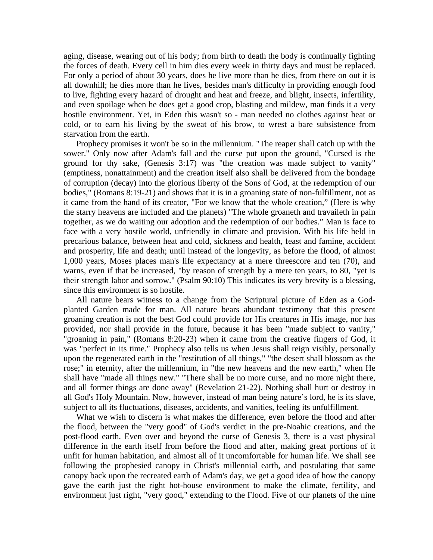aging, disease, wearing out of his body; from birth to death the body is continually fighting the forces of death. Every cell in him dies every week in thirty days and must be replaced. For only a period of about 30 years, does he live more than he dies, from there on out it is all downhill; he dies more than he lives, besides man's difficulty in providing enough food to live, fighting every hazard of drought and heat and freeze, and blight, insects, infertility, and even spoilage when he does get a good crop, blasting and mildew, man finds it a very hostile environment. Yet, in Eden this wasn't so - man needed no clothes against heat or cold, or to earn his living by the sweat of his brow, to wrest a bare subsistence from starvation from the earth.

 Prophecy promises it won't be so in the millennium. "The reaper shall catch up with the sower." Only now after Adam's fall and the curse put upon the ground, "Cursed is the ground for thy sake, (Genesis 3:17) was "the creation was made subject to vanity" (emptiness, nonattainment) and the creation itself also shall be delivered from the bondage of corruption (decay) into the glorious liberty of the Sons of God, at the redemption of our bodies," (Romans 8:19-21) and shows that it is in a groaning state of non-fulfillment, not as it came from the hand of its creator, "For we know that the whole creation," (Here is why the starry heavens are included and the planets) "The whole groaneth and travaileth in pain together, as we do waiting our adoption and the redemption of our bodies." Man is face to face with a very hostile world, unfriendly in climate and provision. With his life held in precarious balance, between heat and cold, sickness and health, feast and famine, accident and prosperity, life and death; until instead of the longevity, as before the flood, of almost 1,000 years, Moses places man's life expectancy at a mere threescore and ten (70), and warns, even if that be increased, "by reason of strength by a mere ten years, to 80, "yet is their strength labor and sorrow." (Psalm 90:10) This indicates its very brevity is a blessing, since this environment is so hostile.

 All nature bears witness to a change from the Scriptural picture of Eden as a Godplanted Garden made for man. All nature bears abundant testimony that this present groaning creation is not the best God could provide for His creatures in His image, nor has provided, nor shall provide in the future, because it has been "made subject to vanity," "groaning in pain," (Romans 8:20-23) when it came from the creative fingers of God, it was "perfect in its time." Prophecy also tells us when Jesus shall reign visibly, personally upon the regenerated earth in the "restitution of all things," "the desert shall blossom as the rose;" in eternity, after the millennium, in "the new heavens and the new earth," when He shall have "made all things new." "There shall be no more curse, and no more night there, and all former things are done away" (Revelation 21-22). Nothing shall hurt or destroy in all God's Holy Mountain. Now, however, instead of man being nature's lord, he is its slave, subject to all its fluctuations, diseases, accidents, and vanities, feeling its unfulfillment.

 What we wish to discern is what makes the difference, even before the flood and after the flood, between the "very good" of God's verdict in the pre-Noahic creations, and the post-flood earth. Even over and beyond the curse of Genesis 3, there is a vast physical difference in the earth itself from before the flood and after, making great portions of it unfit for human habitation, and almost all of it uncomfortable for human life. We shall see following the prophesied canopy in Christ's millennial earth, and postulating that same canopy back upon the recreated earth of Adam's day, we get a good idea of how the canopy gave the earth just the right hot-house environment to make the climate, fertility, and environment just right, "very good," extending to the Flood. Five of our planets of the nine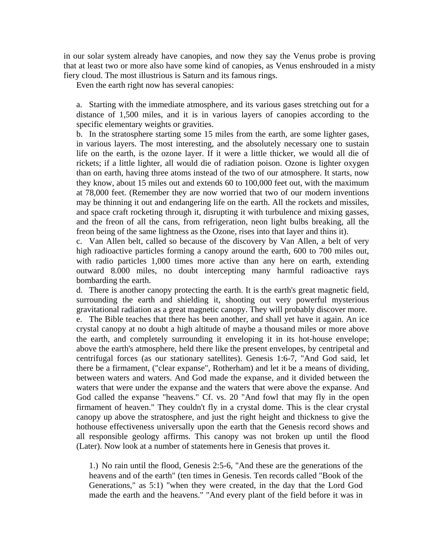in our solar system already have canopies, and now they say the Venus probe is proving that at least two or more also have some kind of canopies, as Venus enshrouded in a misty fiery cloud. The most illustrious is Saturn and its famous rings.

Even the earth right now has several canopies:

a. Starting with the immediate atmosphere, and its various gases stretching out for a distance of 1,500 miles, and it is in various layers of canopies according to the specific elementary weights or gravities.

b. In the stratosphere starting some 15 miles from the earth, are some lighter gases, in various layers. The most interesting, and the absolutely necessary one to sustain life on the earth, is the ozone layer. If it were a little thicker, we would all die of rickets; if a little lighter, all would die of radiation poison. Ozone is lighter oxygen than on earth, having three atoms instead of the two of our atmosphere. It starts, now they know, about 15 miles out and extends 60 to 100,000 feet out, with the maximum at 78,000 feet. (Remember they are now worried that two of our modern inventions may be thinning it out and endangering life on the earth. All the rockets and missiles, and space craft rocketing through it, disrupting it with turbulence and mixing gasses, and the freon of all the cans, from refrigeration, neon light bulbs breaking, all the freon being of the same lightness as the Ozone, rises into that layer and thins it).

c. Van Allen belt, called so because of the discovery by Van Allen, a belt of very high radioactive particles forming a canopy around the earth, 600 to 700 miles out, with radio particles 1,000 times more active than any here on earth, extending outward 8.000 miles, no doubt intercepting many harmful radioactive rays bombarding the earth.

d. There is another canopy protecting the earth. It is the earth's great magnetic field, surrounding the earth and shielding it, shooting out very powerful mysterious gravitational radiation as a great magnetic canopy. They will probably discover more. e. The Bible teaches that there has been another, and shall yet have it again. An ice crystal canopy at no doubt a high altitude of maybe a thousand miles or more above the earth, and completely surrounding it enveloping it in its hot-house envelope; above the earth's atmosphere, held there like the present envelopes, by centripetal and centrifugal forces (as our stationary satellites). Genesis 1:6-7, "And God said, let there be a firmament, ("clear expanse", Rotherham) and let it be a means of dividing, between waters and waters. And God made the expanse, and it divided between the waters that were under the expanse and the waters that were above the expanse. And God called the expanse "heavens." Cf. vs. 20 "And fowl that may fly in the open firmament of heaven." They couldn't fly in a crystal dome. This is the clear crystal canopy up above the stratosphere, and just the right height and thickness to give the hothouse effectiveness universally upon the earth that the Genesis record shows and all responsible geology affirms. This canopy was not broken up until the flood (Later). Now look at a number of statements here in Genesis that proves it.

1.) No rain until the flood, Genesis 2:5-6, "And these are the generations of the heavens and of the earth" (ten times in Genesis. Ten records called "Book of the Generations," as 5:1) "when they were created, in the day that the Lord God made the earth and the heavens." "And every plant of the field before it was in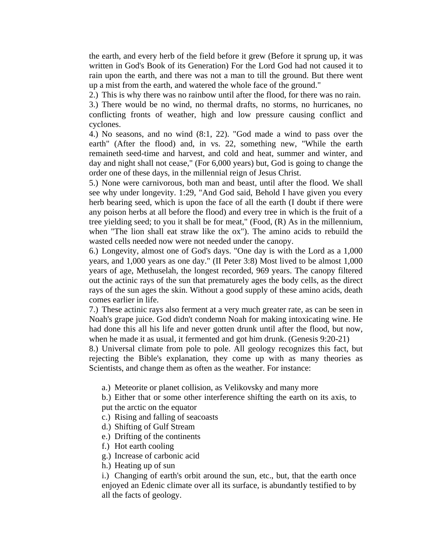the earth, and every herb of the field before it grew (Before it sprung up, it was written in God's Book of its Generation) For the Lord God had not caused it to rain upon the earth, and there was not a man to till the ground. But there went up a mist from the earth, and watered the whole face of the ground."

2.) This is why there was no rainbow until after the flood, for there was no rain.

3.) There would be no wind, no thermal drafts, no storms, no hurricanes, no conflicting fronts of weather, high and low pressure causing conflict and cyclones.

4.) No seasons, and no wind (8:1, 22). "God made a wind to pass over the earth" (After the flood) and, in vs. 22, something new, "While the earth remaineth seed-time and harvest, and cold and heat, summer and winter, and day and night shall not cease," (For 6,000 years) but, God is going to change the order one of these days, in the millennial reign of Jesus Christ.

5.) None were carnivorous, both man and beast, until after the flood. We shall see why under longevity. 1:29, "And God said, Behold I have given you every herb bearing seed, which is upon the face of all the earth (I doubt if there were any poison herbs at all before the flood) and every tree in which is the fruit of a tree yielding seed; to you it shall be for meat," (Food, (R) As in the millennium, when "The lion shall eat straw like the ox"). The amino acids to rebuild the wasted cells needed now were not needed under the canopy.

6.) Longevity, almost one of God's days. "One day is with the Lord as a 1,000 years, and 1,000 years as one day." (II Peter 3:8) Most lived to be almost 1,000 years of age, Methuselah, the longest recorded, 969 years. The canopy filtered out the actinic rays of the sun that prematurely ages the body cells, as the direct rays of the sun ages the skin. Without a good supply of these amino acids, death comes earlier in life.

7.) These actinic rays also ferment at a very much greater rate, as can be seen in Noah's grape juice. God didn't condemn Noah for making intoxicating wine. He had done this all his life and never gotten drunk until after the flood, but now, when he made it as usual, it fermented and got him drunk. (Genesis 9:20-21)

8.) Universal climate from pole to pole. All geology recognizes this fact, but rejecting the Bible's explanation, they come up with as many theories as Scientists, and change them as often as the weather. For instance:

a.) Meteorite or planet collision, as Velikovsky and many more

b.) Either that or some other interference shifting the earth on its axis, to put the arctic on the equator

- c.) Rising and falling of seacoasts
- d.) Shifting of Gulf Stream
- e.) Drifting of the continents
- f.) Hot earth cooling
- g.) Increase of carbonic acid
- h.) Heating up of sun

i.) Changing of earth's orbit around the sun, etc., but, that the earth once enjoyed an Edenic climate over all its surface, is abundantly testified to by all the facts of geology.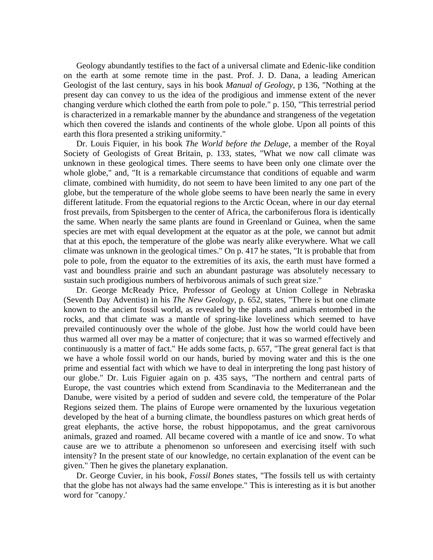Geology abundantly testifies to the fact of a universal climate and Edenic-like condition on the earth at some remote time in the past. Prof. J. D. Dana, a leading American Geologist of the last century, says in his book *Manual of Geology*, p 136, "Nothing at the present day can convey to us the idea of the prodigious and immense extent of the never changing verdure which clothed the earth from pole to pole." p. 150, "This terrestrial period is characterized in a remarkable manner by the abundance and strangeness of the vegetation which then covered the islands and continents of the whole globe. Upon all points of this earth this flora presented a striking uniformity."

 Dr. Louis Fiquier, in his book *The World before the Deluge*, a member of the Royal Society of Geologists of Great Britain, p. 133, states, "What we now call climate was unknown in these geological times. There seems to have been only one climate over the whole globe," and, "It is a remarkable circumstance that conditions of equable and warm climate, combined with humidity, do not seem to have been limited to any one part of the globe, but the temperature of the whole globe seems to have been nearly the same in every different latitude. From the equatorial regions to the Arctic Ocean, where in our day eternal frost prevails, from Spitsbergen to the center of Africa, the carboniferous flora is identically the same. When nearly the same plants are found in Greenland or Guinea, when the same species are met with equal development at the equator as at the pole, we cannot but admit that at this epoch, the temperature of the globe was nearly alike everywhere. What we call climate was unknown in the geological times." On p. 417 he states, "It is probable that from pole to pole, from the equator to the extremities of its axis, the earth must have formed a vast and boundless prairie and such an abundant pasturage was absolutely necessary to sustain such prodigious numbers of herbivorous animals of such great size."

 Dr. George McReady Price, Professor of Geology at Union College in Nebraska (Seventh Day Adventist) in his *The New Geology*, p. 652, states, "There is but one climate known to the ancient fossil world, as revealed by the plants and animals entombed in the rocks, and that climate was a mantle of spring-like loveliness which seemed to have prevailed continuously over the whole of the globe. Just how the world could have been thus warmed all over may be a matter of conjecture; that it was so warmed effectively and continuously is a matter of fact." He adds some facts, p. 657, "The great general fact is that we have a whole fossil world on our hands, buried by moving water and this is the one prime and essential fact with which we have to deal in interpreting the long past history of our globe." Dr. Luis Figuier again on p. 435 says, "The northern and central parts of Europe, the vast countries which extend from Scandinavia to the Mediterranean and the Danube, were visited by a period of sudden and severe cold, the temperature of the Polar Regions seized them. The plains of Europe were ornamented by the luxurious vegetation developed by the heat of a burning climate, the boundless pastures on which great herds of great elephants, the active horse, the robust hippopotamus, and the great carnivorous animals, grazed and roamed. All became covered with a mantle of ice and snow. To what cause are we to attribute a phenomenon so unforeseen and exercising itself with such intensity? In the present state of our knowledge, no certain explanation of the event can be given." Then he gives the planetary explanation.

 Dr. George Cuvier, in his book, *Fossil Bones* states, "The fossils tell us with certainty that the globe has not always had the same envelope." This is interesting as it is but another word for "canopy.'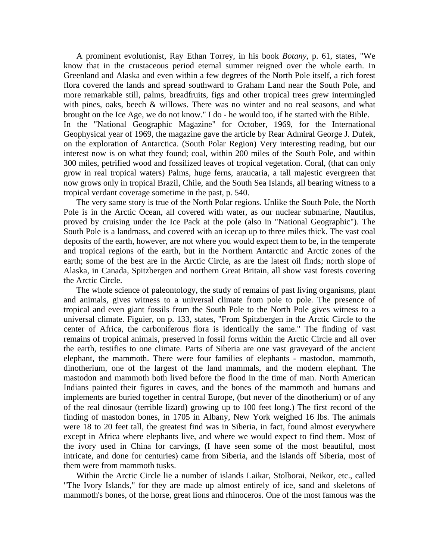A prominent evolutionist, Ray Ethan Torrey, in his book *Botany*, p. 61, states, "We know that in the crustaceous period eternal summer reigned over the whole earth. In Greenland and Alaska and even within a few degrees of the North Pole itself, a rich forest flora covered the lands and spread southward to Graham Land near the South Pole, and more remarkable still, palms, breadfruits, figs and other tropical trees grew intermingled with pines, oaks, beech & willows. There was no winter and no real seasons, and what brought on the Ice Age, we do not know." I do - he would too, if he started with the Bible. In the "National Geographic Magazine" for October, 1969, for the International Geophysical year of 1969, the magazine gave the article by Rear Admiral George J. Dufek, on the exploration of Antarctica. (South Polar Region) Very interesting reading, but our interest now is on what they found; coal, within 200 miles of the South Pole, and within 300 miles, petrified wood and fossilized leaves of tropical vegetation. Coral, (that can only grow in real tropical waters) Palms, huge ferns, araucaria, a tall majestic evergreen that now grows only in tropical Brazil, Chile, and the South Sea Islands, all bearing witness to a tropical verdant coverage sometime in the past, p. 540.

 The very same story is true of the North Polar regions. Unlike the South Pole, the North Pole is in the Arctic Ocean, all covered with water, as our nuclear submarine, Nautilus, proved by cruising under the Ice Pack at the pole (also in "National Geographic"). The South Pole is a landmass, and covered with an icecap up to three miles thick. The vast coal deposits of the earth, however, are not where you would expect them to be, in the temperate and tropical regions of the earth, but in the Northern Antarctic and Arctic zones of the earth; some of the best are in the Arctic Circle, as are the latest oil finds; north slope of Alaska, in Canada, Spitzbergen and northern Great Britain, all show vast forests covering the Arctic Circle.

 The whole science of paleontology, the study of remains of past living organisms, plant and animals, gives witness to a universal climate from pole to pole. The presence of tropical and even giant fossils from the South Pole to the North Pole gives witness to a universal climate. Figuier, on p. 133, states, "From Spitzbergen in the Arctic Circle to the center of Africa, the carboniferous flora is identically the same." The finding of vast remains of tropical animals, preserved in fossil forms within the Arctic Circle and all over the earth, testifies to one climate. Parts of Siberia are one vast graveyard of the ancient elephant, the mammoth. There were four families of elephants - mastodon, mammoth, dinotherium, one of the largest of the land mammals, and the modern elephant. The mastodon and mammoth both lived before the flood in the time of man. North American Indians painted their figures in caves, and the bones of the mammoth and humans and implements are buried together in central Europe, (but never of the dinotherium) or of any of the real dinosaur (terrible lizard) growing up to 100 feet long.) The first record of the finding of mastodon bones, in 1705 in Albany, New York weighed 16 lbs. The animals were 18 to 20 feet tall, the greatest find was in Siberia, in fact, found almost everywhere except in Africa where elephants live, and where we would expect to find them. Most of the ivory used in China for carvings, (I have seen some of the most beautiful, most intricate, and done for centuries) came from Siberia, and the islands off Siberia, most of them were from mammoth tusks.

 Within the Arctic Circle lie a number of islands Laikar, Stolborai, Neikor, etc., called "The Ivory Islands," for they are made up almost entirely of ice, sand and skeletons of mammoth's bones, of the horse, great lions and rhinoceros. One of the most famous was the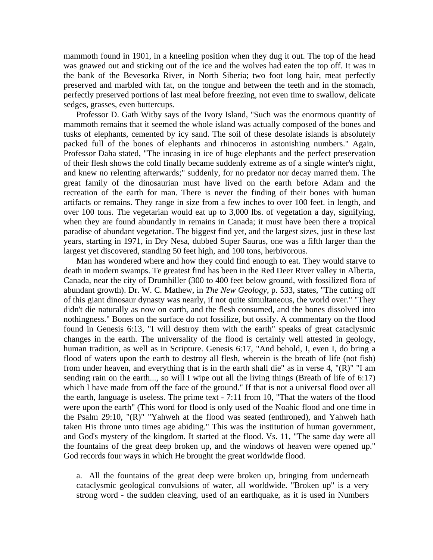mammoth found in 1901, in a kneeling position when they dug it out. The top of the head was gnawed out and sticking out of the ice and the wolves had eaten the top off. It was in the bank of the Bevesorka River, in North Siberia; two foot long hair, meat perfectly preserved and marbled with fat, on the tongue and between the teeth and in the stomach, perfectly preserved portions of last meal before freezing, not even time to swallow, delicate sedges, grasses, even buttercups.

 Professor D. Gath Witby says of the Ivory Island, "Such was the enormous quantity of mammoth remains that it seemed the whole island was actually composed of the bones and tusks of elephants, cemented by icy sand. The soil of these desolate islands is absolutely packed full of the bones of elephants and rhinoceros in astonishing numbers." Again, Professor Daha stated, "The incasing in ice of huge elephants and the perfect preservation of their flesh shows the cold finally became suddenly extreme as of a single winter's night, and knew no relenting afterwards;" suddenly, for no predator nor decay marred them. The great family of the dinosaurian must have lived on the earth before Adam and the recreation of the earth for man. There is never the finding of their bones with human artifacts or remains. They range in size from a few inches to over 100 feet. in length, and over 100 tons. The vegetarian would eat up to 3,000 lbs. of vegetation a day, signifying, when they are found abundantly in remains in Canada; it must have been there a tropical paradise of abundant vegetation. The biggest find yet, and the largest sizes, just in these last years, starting in 1971, in Dry Nesa, dubbed Super Saurus, one was a fifth larger than the largest yet discovered, standing 50 feet high, and 100 tons, herbivorous.

 Man has wondered where and how they could find enough to eat. They would starve to death in modern swamps. Te greatest find has been in the Red Deer River valley in Alberta, Canada, near the city of Drumhiller (300 to 400 feet below ground, with fossilized flora of abundant growth). Dr. W. C. Mathew, in *The New Geology*, p. 533, states, "The cutting off of this giant dinosaur dynasty was nearly, if not quite simultaneous, the world over." "They didn't die naturally as now on earth, and the flesh consumed, and the bones dissolved into nothingness." Bones on the surface do not fossilize, but ossify. A commentary on the flood found in Genesis 6:13, "I will destroy them with the earth" speaks of great cataclysmic changes in the earth. The universality of the flood is certainly well attested in geology, human tradition, as well as in Scripture. Genesis 6:17, "And behold, I, even I, do bring a flood of waters upon the earth to destroy all flesh, wherein is the breath of life (not fish) from under heaven, and everything that is in the earth shall die" as in verse 4, " $(R)$ " "I am sending rain on the earth..., so will I wipe out all the living things (Breath of life of 6:17) which I have made from off the face of the ground." If that is not a universal flood over all the earth, language is useless. The prime text - 7:11 from 10, "That the waters of the flood were upon the earth" (This word for flood is only used of the Noahic flood and one time in the Psalm 29:10, "(R)" "Yahweh at the flood was seated (enthroned), and Yahweh hath taken His throne unto times age abiding." This was the institution of human government, and God's mystery of the kingdom. It started at the flood. Vs. 11, "The same day were all the fountains of the great deep broken up, and the windows of heaven were opened up." God records four ways in which He brought the great worldwide flood.

a. All the fountains of the great deep were broken up, bringing from underneath cataclysmic geological convulsions of water, all worldwide. "Broken up" is a very strong word - the sudden cleaving, used of an earthquake, as it is used in Numbers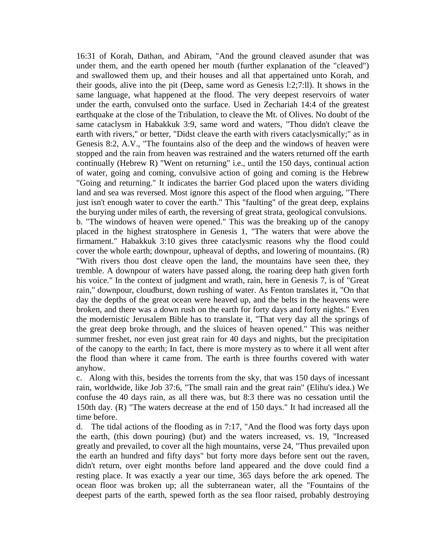16:31 of Korah, Dathan, and Abiram, "And the ground cleaved asunder that was under them, and the earth opened her mouth (further explanation of the "cleaved") and swallowed them up, and their houses and all that appertained unto Korah, and their goods, alive into the pit (Deep, same word as Genesis l:2;7:ll). It shows in the same language, what happened at the flood. The very deepest reservoirs of water under the earth, convulsed onto the surface. Used in Zechariah 14:4 of the greatest earthquake at the close of the Tribulation, to cleave the Mt. of Olives. No doubt of the same cataclysm in Habakkuk 3:9, same word and waters, "Thou didn't cleave the earth with rivers," or better, "Didst cleave the earth with rivers cataclysmically;" as in Genesis 8:2, A.V., "The fountains also of the deep and the windows of heaven were stopped and the rain from heaven was restrained and the waters returned off the earth continually (Hebrew R) "Went on returning" i.e., until the 150 days, continual action of water, going and coming, convulsive action of going and coming is the Hebrew "Going and returning." It indicates the barrier God placed upon the waters dividing land and sea was reversed. Most ignore this aspect of the flood when arguing, "There just isn't enough water to cover the earth." This "faulting" of the great deep, explains the burying under miles of earth, the reversing of great strata, geological convulsions. b. "The windows of heaven were opened." This was the breaking up of the canopy placed in the highest stratosphere in Genesis 1, "The waters that were above the firmament." Habakkuk 3:10 gives three cataclysmic reasons why the flood could cover the whole earth; downpour, upheaval of depths, and lowering of mountains. (R) "With rivers thou dost cleave open the land, the mountains have seen thee, they tremble. A downpour of waters have passed along, the roaring deep hath given forth his voice." In the context of judgment and wrath, rain, here in Genesis 7, is of "Great rain," downpour, cloudburst, down rushing of water. As Fenton translates it, "On that day the depths of the great ocean were heaved up, and the belts in the heavens were broken, and there was a down rush on the earth for forty days and forty nights." Even the modernistic Jerusalem Bible has to translate it, "That very day all the springs of the great deep broke through, and the sluices of heaven opened." This was neither summer freshet, nor even just great rain for 40 days and nights, but the precipitation of the canopy to the earth; In fact, there is more mystery as to where it all went after the flood than where it came from. The earth is three fourths covered with water anyhow.

c. Along with this, besides the torrents from the sky, that was 150 days of incessant rain, worldwide, like Job 37:6, "The small rain and the great rain" (Elihu's idea.) We confuse the 40 days rain, as all there was, but 8:3 there was no cessation until the 150th day. (R) "The waters decrease at the end of 150 days." It had increased all the time before.

d. The tidal actions of the flooding as in 7:17, "And the flood was forty days upon the earth, (this down pouring) (but) and the waters increased, vs. 19, "Increased greatly and prevailed, to cover all the high mountains, verse 24, "Thus prevailed upon the earth an hundred and fifty days" but forty more days before sent out the raven, didn't return, over eight months before land appeared and the dove could find a resting place. It was exactly a year our time, 365 days before the ark opened. The ocean floor was broken up; all the subterranean water, all the "Fountains of the deepest parts of the earth, spewed forth as the sea floor raised, probably destroying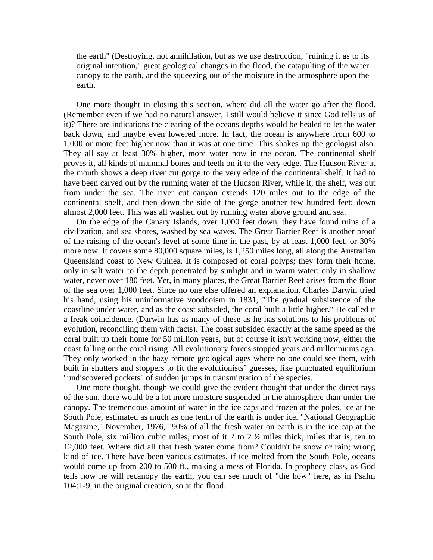the earth" (Destroying, not annihilation, but as we use destruction, "ruining it as to its original intention," great geological changes in the flood, the catapulting of the water canopy to the earth, and the squeezing out of the moisture in the atmosphere upon the earth.

 One more thought in closing this section, where did all the water go after the flood. (Remember even if we had no natural answer, I still would believe it since God tells us of it)? There are indications the clearing of the oceans depths would be healed to let the water back down, and maybe even lowered more. In fact, the ocean is anywhere from 600 to 1,000 or more feet higher now than it was at one time. This shakes up the geologist also. They all say at least 30% higher, more water now in the ocean. The continental shelf proves it, all kinds of mammal bones and teeth on it to the very edge. The Hudson River at the mouth shows a deep river cut gorge to the very edge of the continental shelf. It had to have been carved out by the running water of the Hudson River, while it, the shelf, was out from under the sea. The river cut canyon extends 120 miles out to the edge of the continental shelf, and then down the side of the gorge another few hundred feet; down almost 2,000 feet. This was all washed out by running water above ground and sea.

 On the edge of the Canary Islands, over 1,000 feet down, they have found ruins of a civilization, and sea shores, washed by sea waves. The Great Barrier Reef is another proof of the raising of the ocean's level at some time in the past, by at least 1,000 feet, or 30% more now. It covers some 80,000 square miles, is 1,250 miles long, all along the Australian Queensland coast to New Guinea. It is composed of coral polyps; they form their home, only in salt water to the depth penetrated by sunlight and in warm water; only in shallow water, never over 180 feet. Yet, in many places, the Great Barrier Reef arises from the floor of the sea over 1,000 feet. Since no one else offered an explanation, Charles Darwin tried his hand, using his uninformative voodooism in 1831, "The gradual subsistence of the coastline under water, and as the coast subsided, the coral built a little higher." He called it a freak coincidence. (Darwin has as many of these as he has solutions to his problems of evolution, reconciling them with facts). The coast subsided exactly at the same speed as the coral built up their home for 50 million years, but of course it isn't working now, either the coast falling or the coral rising. All evolutionary forces stopped years and millenniums ago. They only worked in the hazy remote geological ages where no one could see them, with built in shutters and stoppers to fit the evolutionists' guesses, like punctuated equilibrium "undiscovered pockets" of sudden jumps in transmigration of the species.

 One more thought, though we could give the evident thought that under the direct rays of the sun, there would be a lot more moisture suspended in the atmosphere than under the canopy. The tremendous amount of water in the ice caps and frozen at the poles, ice at the South Pole, estimated as much as one tenth of the earth is under ice. "National Geographic Magazine," November, 1976, "90% of all the fresh water on earth is in the ice cap at the South Pole, six million cubic miles, most of it 2 to 2 ½ miles thick, miles that is, ten to 12,000 feet. Where did all that fresh water come from? Couldn't be snow or rain; wrong kind of ice. There have been various estimates, if ice melted from the South Pole, oceans would come up from 200 to 500 ft., making a mess of Florida. In prophecy class, as God tells how he will recanopy the earth, you can see much of "the how" here, as in Psalm 104:1-9, in the original creation, so at the flood.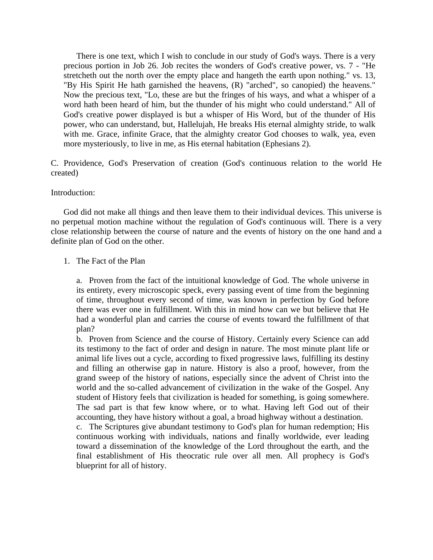There is one text, which I wish to conclude in our study of God's ways. There is a very precious portion in Job 26. Job recites the wonders of God's creative power, vs. 7 - "He stretcheth out the north over the empty place and hangeth the earth upon nothing." vs. 13, "By His Spirit He hath garnished the heavens, (R) "arched", so canopied) the heavens." Now the precious text, "Lo, these are but the fringes of his ways, and what a whisper of a word hath been heard of him, but the thunder of his might who could understand." All of God's creative power displayed is but a whisper of His Word, but of the thunder of His power, who can understand, but, Hallelujah, He breaks His eternal almighty stride, to walk with me. Grace, infinite Grace, that the almighty creator God chooses to walk, yea, even more mysteriously, to live in me, as His eternal habitation (Ephesians 2).

C. Providence, God's Preservation of creation (God's continuous relation to the world He created)

#### Introduction:

 God did not make all things and then leave them to their individual devices. This universe is no perpetual motion machine without the regulation of God's continuous will. There is a very close relationship between the course of nature and the events of history on the one hand and a definite plan of God on the other.

#### 1. The Fact of the Plan

a. Proven from the fact of the intuitional knowledge of God. The whole universe in its entirety, every microscopic speck, every passing event of time from the beginning of time, throughout every second of time, was known in perfection by God before there was ever one in fulfillment. With this in mind how can we but believe that He had a wonderful plan and carries the course of events toward the fulfillment of that plan?

b. Proven from Science and the course of History. Certainly every Science can add its testimony to the fact of order and design in nature. The most minute plant life or animal life lives out a cycle, according to fixed progressive laws, fulfilling its destiny and filling an otherwise gap in nature. History is also a proof, however, from the grand sweep of the history of nations, especially since the advent of Christ into the world and the so-called advancement of civilization in the wake of the Gospel. Any student of History feels that civilization is headed for something, is going somewhere. The sad part is that few know where, or to what. Having left God out of their accounting, they have history without a goal, a broad highway without a destination.

c. The Scriptures give abundant testimony to God's plan for human redemption; His continuous working with individuals, nations and finally worldwide, ever leading toward a dissemination of the knowledge of the Lord throughout the earth, and the final establishment of His theocratic rule over all men. All prophecy is God's blueprint for all of history.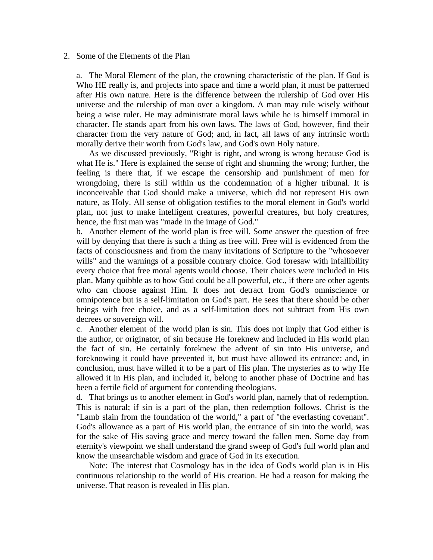#### 2. Some of the Elements of the Plan

a. The Moral Element of the plan, the crowning characteristic of the plan. If God is Who HE really is, and projects into space and time a world plan, it must be patterned after His own nature. Here is the difference between the rulership of God over His universe and the rulership of man over a kingdom. A man may rule wisely without being a wise ruler. He may administrate moral laws while he is himself immoral in character. He stands apart from his own laws. The laws of God, however, find their character from the very nature of God; and, in fact, all laws of any intrinsic worth morally derive their worth from God's law, and God's own Holy nature.

 As we discussed previously, "Right is right, and wrong is wrong because God is what He is." Here is explained the sense of right and shunning the wrong; further, the feeling is there that, if we escape the censorship and punishment of men for wrongdoing, there is still within us the condemnation of a higher tribunal. It is inconceivable that God should make a universe, which did not represent His own nature, as Holy. All sense of obligation testifies to the moral element in God's world plan, not just to make intelligent creatures, powerful creatures, but holy creatures, hence, the first man was "made in the image of God."

b. Another element of the world plan is free will. Some answer the question of free will by denying that there is such a thing as free will. Free will is evidenced from the facts of consciousness and from the many invitations of Scripture to the "whosoever wills" and the warnings of a possible contrary choice. God foresaw with infallibility every choice that free moral agents would choose. Their choices were included in His plan. Many quibble as to how God could be all powerful, etc., if there are other agents who can choose against Him. It does not detract from God's omniscience or omnipotence but is a self-limitation on God's part. He sees that there should be other beings with free choice, and as a self-limitation does not subtract from His own decrees or sovereign will.

c. Another element of the world plan is sin. This does not imply that God either is the author, or originator, of sin because He foreknew and included in His world plan the fact of sin. He certainly foreknew the advent of sin into His universe, and foreknowing it could have prevented it, but must have allowed its entrance; and, in conclusion, must have willed it to be a part of His plan. The mysteries as to why He allowed it in His plan, and included it, belong to another phase of Doctrine and has been a fertile field of argument for contending theologians.

d. That brings us to another element in God's world plan, namely that of redemption. This is natural; if sin is a part of the plan, then redemption follows. Christ is the "Lamb slain from the foundation of the world," a part of "the everlasting covenant". God's allowance as a part of His world plan, the entrance of sin into the world, was for the sake of His saving grace and mercy toward the fallen men. Some day from eternity's viewpoint we shall understand the grand sweep of God's full world plan and know the unsearchable wisdom and grace of God in its execution.

 Note: The interest that Cosmology has in the idea of God's world plan is in His continuous relationship to the world of His creation. He had a reason for making the universe. That reason is revealed in His plan.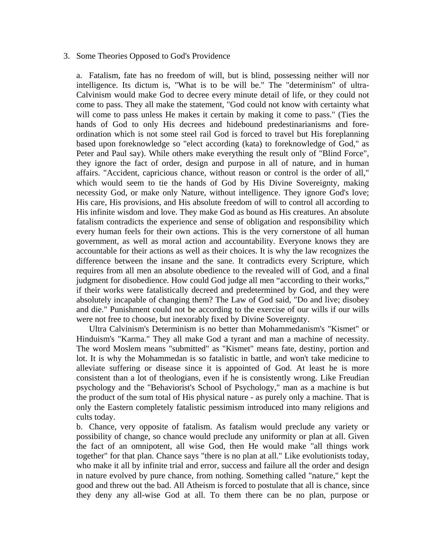#### 3. Some Theories Opposed to God's Providence

a. Fatalism, fate has no freedom of will, but is blind, possessing neither will nor intelligence. Its dictum is, "What is to be will be." The "determinism" of ultra-Calvinism would make God to decree every minute detail of life, or they could not come to pass. They all make the statement, "God could not know with certainty what will come to pass unless He makes it certain by making it come to pass." (Ties the hands of God to only His decrees and hidebound predestinarianisms and foreordination which is not some steel rail God is forced to travel but His foreplanning based upon foreknowledge so "elect according (kata) to foreknowledge of God," as Peter and Paul say). While others make everything the result only of "Blind Force", they ignore the fact of order, design and purpose in all of nature, and in human affairs. "Accident, capricious chance, without reason or control is the order of all," which would seem to tie the hands of God by His Divine Sovereignty, making necessity God, or make only Nature, without intelligence. They ignore God's love; His care, His provisions, and His absolute freedom of will to control all according to His infinite wisdom and love. They make God as bound as His creatures. An absolute fatalism contradicts the experience and sense of obligation and responsibility which every human feels for their own actions. This is the very cornerstone of all human government, as well as moral action and accountability. Everyone knows they are accountable for their actions as well as their choices. It is why the law recognizes the difference between the insane and the sane. It contradicts every Scripture, which requires from all men an absolute obedience to the revealed will of God, and a final judgment for disobedience. How could God judge all men "according to their works," if their works were fatalistically decreed and predetermined by God, and they were absolutely incapable of changing them? The Law of God said, "Do and live; disobey and die." Punishment could not be according to the exercise of our wills if our wills were not free to choose, but inexorably fixed by Divine Sovereignty.

 Ultra Calvinism's Determinism is no better than Mohammedanism's "Kismet" or Hinduism's "Karma." They all make God a tyrant and man a machine of necessity. The word Moslem means "submitted" as "Kismet" means fate, destiny, portion and lot. It is why the Mohammedan is so fatalistic in battle, and won't take medicine to alleviate suffering or disease since it is appointed of God. At least he is more consistent than a lot of theologians, even if he is consistently wrong. Like Freudian psychology and the "Behaviorist's School of Psychology," man as a machine is but the product of the sum total of His physical nature - as purely only a machine. That is only the Eastern completely fatalistic pessimism introduced into many religions and cults today.

b. Chance, very opposite of fatalism. As fatalism would preclude any variety or possibility of change, so chance would preclude any uniformity or plan at all. Given the fact of an omnipotent, all wise God, then He would make "all things work together" for that plan. Chance says "there is no plan at all." Like evolutionists today, who make it all by infinite trial and error, success and failure all the order and design in nature evolved by pure chance, from nothing. Something called "nature," kept the good and threw out the bad. All Atheism is forced to postulate that all is chance, since they deny any all-wise God at all. To them there can be no plan, purpose or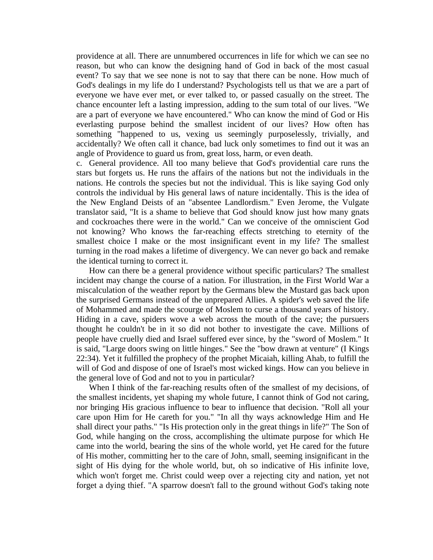providence at all. There are unnumbered occurrences in life for which we can see no reason, but who can know the designing hand of God in back of the most casual event? To say that we see none is not to say that there can be none. How much of God's dealings in my life do I understand? Psychologists tell us that we are a part of everyone we have ever met, or ever talked to, or passed casually on the street. The chance encounter left a lasting impression, adding to the sum total of our lives. "We are a part of everyone we have encountered." Who can know the mind of God or His everlasting purpose behind the smallest incident of our lives? How often has something "happened to us, vexing us seemingly purposelessly, trivially, and accidentally? We often call it chance, bad luck only sometimes to find out it was an angle of Providence to guard us from, great loss, harm, or even death.

c. General providence. All too many believe that God's providential care runs the stars but forgets us. He runs the affairs of the nations but not the individuals in the nations. He controls the species but not the individual. This is like saying God only controls the individual by His general laws of nature incidentally. This is the idea of the New England Deists of an "absentee Landlordism." Even Jerome, the Vulgate translator said, "It is a shame to believe that God should know just how many gnats and cockroaches there were in the world." Can we conceive of the omniscient God not knowing? Who knows the far-reaching effects stretching to eternity of the smallest choice I make or the most insignificant event in my life? The smallest turning in the road makes a lifetime of divergency. We can never go back and remake the identical turning to correct it.

 How can there be a general providence without specific particulars? The smallest incident may change the course of a nation. For illustration, in the First World War a miscalculation of the weather report by the Germans blew the Mustard gas back upon the surprised Germans instead of the unprepared Allies. A spider's web saved the life of Mohammed and made the scourge of Moslem to curse a thousand years of history. Hiding in a cave, spiders wove a web across the mouth of the cave; the pursuers thought he couldn't be in it so did not bother to investigate the cave. Millions of people have cruelly died and Israel suffered ever since, by the "sword of Moslem." It is said, "Large doors swing on little hinges." See the "bow drawn at venture" (I Kings 22:34). Yet it fulfilled the prophecy of the prophet Micaiah, killing Ahab, to fulfill the will of God and dispose of one of Israel's most wicked kings. How can you believe in the general love of God and not to you in particular?

When I think of the far-reaching results often of the smallest of my decisions, of the smallest incidents, yet shaping my whole future, I cannot think of God not caring, nor bringing His gracious influence to bear to influence that decision. "Roll all your care upon Him for He careth for you." "In all thy ways acknowledge Him and He shall direct your paths." "Is His protection only in the great things in life?" The Son of God, while hanging on the cross, accomplishing the ultimate purpose for which He came into the world, bearing the sins of the whole world, yet He cared for the future of His mother, committing her to the care of John, small, seeming insignificant in the sight of His dying for the whole world, but, oh so indicative of His infinite love, which won't forget me. Christ could weep over a rejecting city and nation, yet not forget a dying thief. "A sparrow doesn't fall to the ground without God's taking note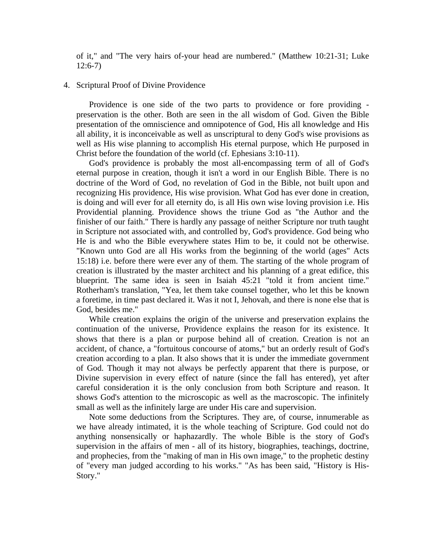of it," and "The very hairs of-your head are numbered." (Matthew 10:21-31; Luke 12:6-7)

#### 4. Scriptural Proof of Divine Providence

 Providence is one side of the two parts to providence or fore providing preservation is the other. Both are seen in the all wisdom of God. Given the Bible presentation of the omniscience and omnipotence of God, His all knowledge and His all ability, it is inconceivable as well as unscriptural to deny God's wise provisions as well as His wise planning to accomplish His eternal purpose, which He purposed in Christ before the foundation of the world (cf. Ephesians 3:10-11).

 God's providence is probably the most all-encompassing term of all of God's eternal purpose in creation, though it isn't a word in our English Bible. There is no doctrine of the Word of God, no revelation of God in the Bible, not built upon and recognizing His providence, His wise provision. What God has ever done in creation, is doing and will ever for all eternity do, is all His own wise loving provision i.e. His Providential planning. Providence shows the triune God as "the Author and the finisher of our faith." There is hardly any passage of neither Scripture nor truth taught in Scripture not associated with, and controlled by, God's providence. God being who He is and who the Bible everywhere states Him to be, it could not be otherwise. "Known unto God are all His works from the beginning of the world (ages" Acts 15:18) i.e. before there were ever any of them. The starting of the whole program of creation is illustrated by the master architect and his planning of a great edifice, this blueprint. The same idea is seen in Isaiah 45:21 "told it from ancient time." Rotherham's translation, "Yea, let them take counsel together, who let this be known a foretime, in time past declared it. Was it not I, Jehovah, and there is none else that is God, besides me."

 While creation explains the origin of the universe and preservation explains the continuation of the universe, Providence explains the reason for its existence. It shows that there is a plan or purpose behind all of creation. Creation is not an accident, of chance, a "fortuitous concourse of atoms," but an orderly result of God's creation according to a plan. It also shows that it is under the immediate government of God. Though it may not always be perfectly apparent that there is purpose, or Divine supervision in every effect of nature (since the fall has entered), yet after careful consideration it is the only conclusion from both Scripture and reason. It shows God's attention to the microscopic as well as the macroscopic. The infinitely small as well as the infinitely large are under His care and supervision.

 Note some deductions from the Scriptures. They are, of course, innumerable as we have already intimated, it is the whole teaching of Scripture. God could not do anything nonsensically or haphazardly. The whole Bible is the story of God's supervision in the affairs of men - all of its history, biographies, teachings, doctrine, and prophecies, from the "making of man in His own image," to the prophetic destiny of "every man judged according to his works." "As has been said, "History is His-Story."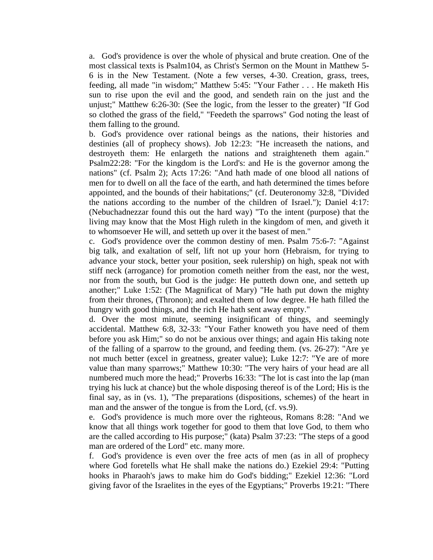a. God's providence is over the whole of physical and brute creation. One of the most classical texts is Psalm104, as Christ's Sermon on the Mount in Matthew 5- 6 is in the New Testament. (Note a few verses, 4-30. Creation, grass, trees, feeding, all made "in wisdom;" Matthew 5:45: "Your Father . . . He maketh His sun to rise upon the evil and the good, and sendeth rain on the just and the unjust;" Matthew 6:26-30: (See the logic, from the lesser to the greater) "If God so clothed the grass of the field," "Feedeth the sparrows" God noting the least of them falling to the ground.

b. God's providence over rational beings as the nations, their histories and destinies (all of prophecy shows). Job 12:23: "He increaseth the nations, and destroyeth them: He enlargeth the nations and straighteneth them again." Psalm22:28: "For the kingdom is the Lord's: and He is the governor among the nations" (cf. Psalm 2); Acts 17:26: "And hath made of one blood all nations of men for to dwell on all the face of the earth, and hath determined the times before appointed, and the bounds of their habitations;" (cf. Deuteronomy 32:8, "Divided the nations according to the number of the children of Israel."); Daniel 4:17: (Nebuchadnezzar found this out the hard way) "To the intent (purpose) that the living may know that the Most High ruleth in the kingdom of men, and giveth it to whomsoever He will, and setteth up over it the basest of men."

c. God's providence over the common destiny of men. Psalm 75:6-7: "Against big talk, and exaltation of self, lift not up your horn (Hebraism, for trying to advance your stock, better your position, seek rulership) on high, speak not with stiff neck (arrogance) for promotion cometh neither from the east, nor the west, nor from the south, but God is the judge: He putteth down one, and setteth up another;" Luke 1:52: (The Magnificat of Mary) "He hath put down the mighty from their thrones, (Thronon); and exalted them of low degree. He hath filled the hungry with good things, and the rich He hath sent away empty."

d. Over the most minute, seeming insignificant of things, and seemingly accidental. Matthew 6:8, 32-33: "Your Father knoweth you have need of them before you ask Him;" so do not be anxious over things; and again His taking note of the falling of a sparrow to the ground, and feeding them. (vs. 26-27): "Are ye not much better (excel in greatness, greater value); Luke 12:7: "Ye are of more value than many sparrows;" Matthew 10:30: "The very hairs of your head are all numbered much more the head;" Proverbs 16:33: "The lot is cast into the lap (man trying his luck at chance) but the whole disposing thereof is of the Lord; His is the final say, as in (vs. 1), "The preparations (dispositions, schemes) of the heart in man and the answer of the tongue is from the Lord, (cf. vs.9).

e. God's providence is much more over the righteous, Romans 8:28: "And we know that all things work together for good to them that love God, to them who are the called according to His purpose;" (kata) Psalm 37:23: "The steps of a good man are ordered of the Lord" etc. many more.

f. God's providence is even over the free acts of men (as in all of prophecy where God foretells what He shall make the nations do.) Ezekiel 29:4: "Putting hooks in Pharaoh's jaws to make him do God's bidding;" Ezekiel 12:36: "Lord giving favor of the Israelites in the eyes of the Egyptians;" Proverbs 19:21: "There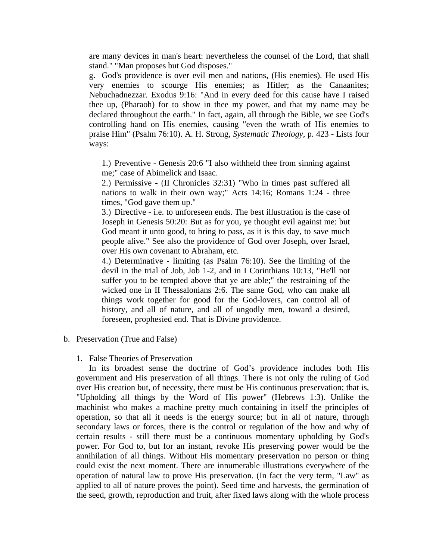are many devices in man's heart: nevertheless the counsel of the Lord, that shall stand." "Man proposes but God disposes."

g. God's providence is over evil men and nations, (His enemies). He used His very enemies to scourge His enemies; as Hitler; as the Canaanites; Nebuchadnezzar. Exodus 9:16: "And in every deed for this cause have I raised thee up, (Pharaoh) for to show in thee my power, and that my name may be declared throughout the earth." In fact, again, all through the Bible, we see God's controlling hand on His enemies, causing "even the wrath of His enemies to praise Him" (Psalm 76:10). A. H. Strong, *Systematic Theology,* p. 423 - Lists four ways:

1.) Preventive - Genesis 20:6 "I also withheld thee from sinning against me;" case of Abimelick and Isaac.

2.) Permissive - (II Chronicles 32:31) "Who in times past suffered all nations to walk in their own way;" Acts 14:16; Romans 1:24 - three times, "God gave them up."

3.) Directive - i.e. to unforeseen ends. The best illustration is the case of Joseph in Genesis 50:20: But as for you, ye thought evil against me: but God meant it unto good, to bring to pass, as it is this day, to save much people alive." See also the providence of God over Joseph, over Israel, over His own covenant to Abraham, etc.

4.) Determinative - limiting (as Psalm 76:10). See the limiting of the devil in the trial of Job, Job 1-2, and in I Corinthians 10:13, "He'll not suffer you to be tempted above that ye are able;" the restraining of the wicked one in II Thessalonians 2:6. The same God, who can make all things work together for good for the God-lovers, can control all of history, and all of nature, and all of ungodly men, toward a desired, foreseen, prophesied end. That is Divine providence.

- b. Preservation (True and False)
	- 1. False Theories of Preservation

 In its broadest sense the doctrine of God's providence includes both His government and His preservation of all things. There is not only the ruling of God over His creation but, of necessity, there must be His continuous preservation; that is, "Upholding all things by the Word of His power" (Hebrews 1:3). Unlike the machinist who makes a machine pretty much containing in itself the principles of operation, so that all it needs is the energy source; but in all of nature, through secondary laws or forces, there is the control or regulation of the how and why of certain results - still there must be a continuous momentary upholding by God's power. For God to, but for an instant, revoke His preserving power would be the annihilation of all things. Without His momentary preservation no person or thing could exist the next moment. There are innumerable illustrations everywhere of the operation of natural law to prove His preservation. (In fact the very term, "Law" as applied to all of nature proves the point). Seed time and harvests, the germination of the seed, growth, reproduction and fruit, after fixed laws along with the whole process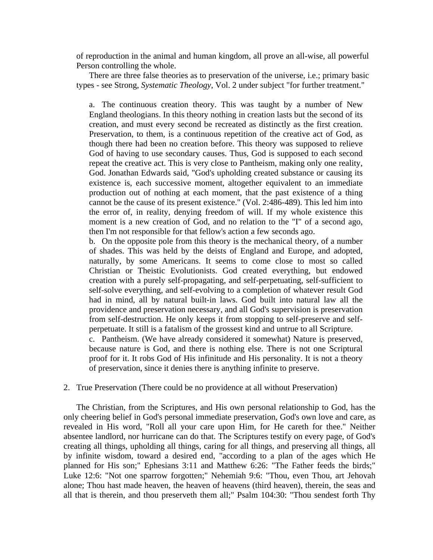of reproduction in the animal and human kingdom, all prove an all-wise, all powerful Person controlling the whole.

 There are three false theories as to preservation of the universe, i.e.; primary basic types - see Strong, *Systematic Theology*, Vol. 2 under subject "for further treatment."

a. The continuous creation theory. This was taught by a number of New England theologians. In this theory nothing in creation lasts but the second of its creation, and must every second be recreated as distinctly as the first creation. Preservation, to them, is a continuous repetition of the creative act of God, as though there had been no creation before. This theory was supposed to relieve God of having to use secondary causes. Thus, God is supposed to each second repeat the creative act. This is very close to Pantheism, making only one reality, God. Jonathan Edwards said, "God's upholding created substance or causing its existence is, each successive moment, altogether equivalent to an immediate production out of nothing at each moment, that the past existence of a thing cannot be the cause of its present existence." (Vol. 2:486-489). This led him into the error of, in reality, denying freedom of will. If my whole existence this moment is a new creation of God, and no relation to the "I" of a second ago, then I'm not responsible for that fellow's action a few seconds ago.

b. On the opposite pole from this theory is the mechanical theory, of a number of shades. This was held by the deists of England and Europe, and adopted, naturally, by some Americans. It seems to come close to most so called Christian or Theistic Evolutionists. God created everything, but endowed creation with a purely self-propagating, and self-perpetuating, self-sufficient to self-solve everything, and self-evolving to a completion of whatever result God had in mind, all by natural built-in laws. God built into natural law all the providence and preservation necessary, and all God's supervision is preservation from self-destruction. He only keeps it from stopping to self-preserve and selfperpetuate. It still is a fatalism of the grossest kind and untrue to all Scripture. c. Pantheism. (We have already considered it somewhat) Nature is preserved,

because nature is God, and there is nothing else. There is not one Scriptural proof for it. It robs God of His infinitude and His personality. It is not a theory of preservation, since it denies there is anything infinite to preserve.

#### 2. True Preservation (There could be no providence at all without Preservation)

 The Christian, from the Scriptures, and His own personal relationship to God, has the only cheering belief in God's personal immediate preservation, God's own love and care, as revealed in His word, "Roll all your care upon Him, for He careth for thee." Neither absentee landlord, nor hurricane can do that. The Scriptures testify on every page, of God's creating all things, upholding all things, caring for all things, and preserving all things, all by infinite wisdom, toward a desired end, "according to a plan of the ages which He planned for His son;" Ephesians 3:11 and Matthew 6:26: "The Father feeds the birds;" Luke 12:6: "Not one sparrow forgotten;" Nehemiah 9:6: "Thou, even Thou, art Jehovah alone; Thou hast made heaven, the heaven of heavens (third heaven), therein, the seas and all that is therein, and thou preserveth them all;" Psalm 104:30: "Thou sendest forth Thy